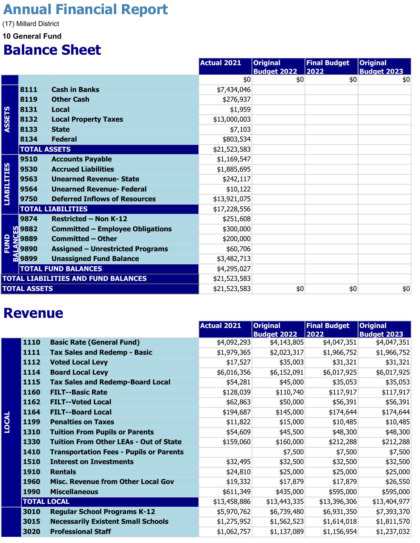## Annual Financial Report

(17) Millard District

#### 10 General Fund

### Balance Sheet

|                     |                     |                                         | Actual 2021  | <b>Original</b><br><b>Budget 2022</b> | <b>Final Budget</b><br>2022 | <b>Original</b><br><b>Budget 2023</b> |
|---------------------|---------------------|-----------------------------------------|--------------|---------------------------------------|-----------------------------|---------------------------------------|
|                     |                     |                                         | \$0          | \$0                                   | \$0                         | \$0                                   |
|                     | 8111                | <b>Cash in Banks</b>                    | \$7,434,046  |                                       |                             |                                       |
|                     | 8119                | <b>Other Cash</b>                       | \$276,937    |                                       |                             |                                       |
|                     | 8131                | <b>Local</b>                            | \$1,959      |                                       |                             |                                       |
| <b>ASSETS</b>       | 8132                | <b>Local Property Taxes</b>             | \$13,000,003 |                                       |                             |                                       |
|                     | 8133                | <b>State</b>                            | \$7,103      |                                       |                             |                                       |
|                     | 8134                | <b>Federal</b>                          | \$803,534    |                                       |                             |                                       |
|                     | <b>TOTAL ASSETS</b> |                                         | \$21,523,583 |                                       |                             |                                       |
|                     | 9510                | <b>Accounts Payable</b>                 | \$1,169,547  |                                       |                             |                                       |
|                     | 9530                | <b>Accrued Liabilities</b>              | \$1,885,695  |                                       |                             |                                       |
|                     | 9563                | <b>Unearned Revenue- State</b>          | \$242,117    |                                       |                             |                                       |
|                     | 9564                | <b>Unearned Revenue- Federal</b>        | \$10,122     |                                       |                             |                                       |
| <b>LIABILITIES</b>  | 9750                | <b>Deferred Inflows of Resources</b>    | \$13,921,075 |                                       |                             |                                       |
|                     |                     | <b>TOTAL LIABILITIES</b>                | \$17,228,556 |                                       |                             |                                       |
|                     | 9874                | <b>Restricted - Non K-12</b>            | \$251,608    |                                       |                             |                                       |
|                     | <b>Sept. 3</b>      | <b>Committed - Employee Obligations</b> | \$300,000    |                                       |                             |                                       |
| <b>FUND</b><br>LANG | 9889                | <b>Committed - Other</b>                | \$200,000    |                                       |                             |                                       |
|                     | 9890                | <b>Assigned - Unrestricted Programs</b> | \$60,706     |                                       |                             |                                       |
|                     | <b>69899</b>        | <b>Unassigned Fund Balance</b>          | \$3,482,713  |                                       |                             |                                       |
|                     |                     | <b>TOTAL FUND BALANCES</b>              | \$4,295,027  |                                       |                             |                                       |
|                     |                     | TOTAL LIABILITIES AND FUND BALANCES     | \$21,523,583 |                                       |                             |                                       |
|                     | <b>TOTAL ASSETS</b> |                                         | \$21,523,583 | \$0                                   | \$0                         | \$0                                   |

#### Revenue

|       |                    |                                                | <b>Actual 2021</b> | <b>Original</b>    | <b>Final Budget</b> | <b>Original</b>    |
|-------|--------------------|------------------------------------------------|--------------------|--------------------|---------------------|--------------------|
|       |                    |                                                |                    | <b>Budget 2022</b> | 2022                | <b>Budget 2023</b> |
|       | 1110               | <b>Basic Rate (General Fund)</b>               | \$4,092,293        | \$4,143,805        | \$4,047,351         | \$4,047,351        |
|       | 1111               | <b>Tax Sales and Redemp - Basic</b>            | \$1,979,365        | \$2,023,317        | \$1,966,752         | \$1,966,752        |
|       | 1112               | <b>Voted Local Levy</b>                        | \$17,527           | \$35,003           | \$31,321            | \$31,321           |
|       | 1114               | <b>Board Local Levy</b>                        | \$6,016,356        | \$6,152,091        | \$6,017,925         | \$6,017,925        |
|       | 1115               | <b>Tax Sales and Redemp-Board Local</b>        | \$54,281           | \$45,000           | \$35,053            | \$35,053           |
|       | 1160               | <b>FILT--Basic Rate</b>                        | \$128,039          | \$110,740          | \$117,917           | \$117,917          |
|       | 1162               | <b>FILT--Voted Local</b>                       | \$62,863           | \$50,000           | \$56,391            | \$56,391           |
|       | 1164               | <b>FILT--Board Local</b>                       | \$194,687          | \$145,000          | \$174,644           | \$174,644          |
| LOCAL | 1199               | <b>Penalties on Taxes</b>                      | \$11,822           | \$15,000           | \$10,485            | \$10,485           |
|       | 1310               | <b>Tuition From Pupils or Parents</b>          | \$54,609           | \$45,500           | \$48,300            | \$48,300           |
|       | 1330               | <b>Tuition From Other LEAs - Out of State</b>  | \$159,060          | \$160,000          | \$212,288           | \$212,288          |
|       | 1410               | <b>Transportation Fees - Pupils or Parents</b> |                    | \$7,500            | \$7,500             | \$7,500            |
|       | 1510               | <b>Interest on Investments</b>                 | \$32,495           | \$32,500           | \$32,500            | \$32,500           |
|       | 1910               | <b>Rentals</b>                                 | \$24,810           | \$25,000           | \$25,000            | \$25,000           |
|       | 1960               | <b>Misc. Revenue from Other Local Gov</b>      | \$19,332           | \$17,879           | \$17,879            | \$26,550           |
|       | 1990               | <b>Miscellaneous</b>                           | \$611,349          | \$435,000          | \$595,000           | \$595,000          |
|       | <b>TOTAL LOCAL</b> |                                                | \$13,458,886       | \$13,443,335       | \$13,396,306        | \$13,404,977       |
|       | 3010               | <b>Regular School Programs K-12</b>            | \$5,970,762        | \$6,739,480        | \$6,931,350         | \$7,393,370        |
|       | 3015               | <b>Necessarily Existent Small Schools</b>      | \$1,275,952        | \$1,562,523        | \$1,614,018         | \$1,811,570        |
|       | 3020               | <b>Professional Staff</b>                      | \$1,062,757        | \$1,137,089        | \$1,156,954         | \$1,237,032        |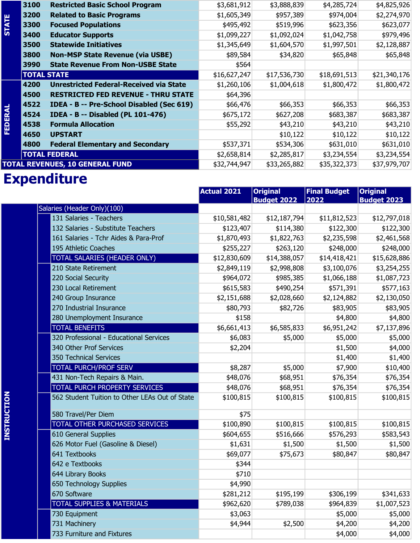|                                        | 3100               | <b>Restricted Basic School Program</b>         | \$3,681,912        | \$3,888,839                           | \$4,285,724                 | \$4,825,926                           |
|----------------------------------------|--------------------|------------------------------------------------|--------------------|---------------------------------------|-----------------------------|---------------------------------------|
|                                        | 3200               | <b>Related to Basic Programs</b>               | \$1,605,349        | \$957,389                             | \$974,004                   | \$2,274,970                           |
| <b>STATE</b>                           | 3300               | <b>Focused Populations</b>                     | \$495,492          | \$519,996                             | \$623,356                   | \$623,077                             |
|                                        | 3400               | <b>Educator Supports</b>                       | \$1,099,227        | \$1,092,024                           | \$1,042,758                 | \$979,496                             |
|                                        | 3500               | <b>Statewide Initiatives</b>                   | \$1,345,649        | \$1,604,570                           | \$1,997,501                 | \$2,128,887                           |
|                                        | 3800               | <b>Non-MSP State Revenue (via USBE)</b>        | \$89,584           | \$34,820                              | \$65,848                    | \$65,848                              |
|                                        | 3990               | <b>State Revenue From Non-USBE State</b>       | \$564              |                                       |                             |                                       |
|                                        | <b>TOTAL STATE</b> |                                                | \$16,627,247       | \$17,536,730                          | \$18,691,513                | \$21,340,176                          |
|                                        | 4200               | <b>Unrestricted Federal-Received via State</b> | \$1,260,106        | \$1,004,618                           | \$1,800,472                 | \$1,800,472                           |
|                                        | 4500               | <b>RESTRICTED FED REVENUE - THRU STATE</b>     | \$64,396           |                                       |                             |                                       |
|                                        | 4522               | IDEA - B -- Pre-School Disabled (Sec 619)      | \$66,476           | \$66,353                              | \$66,353                    | \$66,353                              |
| <b>FEDERAL</b>                         | 4524               | <b>IDEA - B -- Disabled (PL 101-476)</b>       | \$675,172          | \$627,208                             | \$683,387                   | \$683,387                             |
|                                        | 4538               | <b>Formula Allocation</b>                      | \$55,292           | \$43,210                              | \$43,210                    | \$43,210                              |
|                                        | 4650               | <b>UPSTART</b>                                 |                    | \$10,122                              | \$10,122                    | \$10,122                              |
|                                        | 4800               | <b>Federal Elementary and Secondary</b>        | \$537,371          | \$534,306                             | \$631,010                   | \$631,010                             |
|                                        |                    | <b>TOTAL FEDERAL</b>                           | \$2,658,814        | \$2,285,817                           | \$3,234,554                 | \$3,234,554                           |
| <b>TOTAL REVENUES, 10 GENERAL FUND</b> |                    | \$32,744,947                                   | \$33,265,882       | \$35,322,373                          | \$37,979,707                |                                       |
| <b>Expenditure</b>                     |                    |                                                |                    |                                       |                             |                                       |
|                                        |                    |                                                | <b>Actual 2021</b> | <b>Original</b><br><b>Budget 2022</b> | <b>Final Budget</b><br>2022 | <b>Original</b><br><b>Budget 2023</b> |

# **Expenditure**

|                    |                                                | <b>Actual 2021</b> | <b>Original</b><br><b>Budget 2022</b> | <b>Final Budget</b><br>2022 | <b>Original</b><br><b>Budget 2023</b> |
|--------------------|------------------------------------------------|--------------------|---------------------------------------|-----------------------------|---------------------------------------|
|                    | Salaries (Header Only)(100)                    |                    |                                       |                             |                                       |
|                    | 131 Salaries - Teachers                        | \$10,581,482       | \$12,187,794                          | \$11,812,523                | \$12,797,018                          |
|                    | 132 Salaries - Substitute Teachers             | \$123,407          | \$114,380                             | \$122,300                   | \$122,300                             |
|                    | 161 Salaries - Tchr Aides & Para-Prof          | \$1,870,493        | \$1,822,763                           | \$2,235,598                 | \$2,461,568                           |
|                    | 195 Athletic Coaches                           | \$255,227          | \$263,120                             | \$248,000                   | \$248,000                             |
|                    | TOTAL SALARIES (HEADER ONLY)                   | \$12,830,609       | \$14,388,057                          | \$14,418,421                | \$15,628,886                          |
|                    | 210 State Retirement                           | \$2,849,119        | \$2,998,808                           | \$3,100,076                 | \$3,254,255                           |
|                    | 220 Social Security                            | \$964,072          | \$985,385                             | \$1,066,188                 | \$1,087,723                           |
|                    | 230 Local Retirement                           | \$615,583          | \$490,254                             | \$571,391                   | \$577,163                             |
|                    | 240 Group Insurance                            | \$2,151,688        | \$2,028,660                           | \$2,124,882                 | \$2,130,050                           |
|                    | 270 Industrial Insurance                       | \$80,793           | \$82,726                              | \$83,905                    | \$83,905                              |
|                    | 280 Unemployment Insurance                     | \$158              |                                       | \$4,800                     | \$4,800                               |
|                    | <b>TOTAL BENEFITS</b>                          | \$6,661,413        | \$6,585,833                           | \$6,951,242                 | \$7,137,896                           |
|                    | 320 Professional - Educational Services        | \$6,083            | \$5,000                               | \$5,000                     | \$5,000                               |
|                    | 340 Other Prof Services                        | \$2,204            |                                       | \$1,500                     | \$4,000                               |
|                    | 350 Technical Services                         |                    |                                       | \$1,400                     | \$1,400                               |
|                    | <b>TOTAL PURCH/PROF SERV</b>                   | \$8,287            | \$5,000                               | \$7,900                     | \$10,400                              |
|                    | 431 Non-Tech Repairs & Main.                   | \$48,076           | \$68,951                              | \$76,354                    | \$76,354                              |
|                    | TOTAL PURCH PROPERTY SERVICES                  | \$48,076           | \$68,951                              | \$76,354                    | \$76,354                              |
| <b>INSTRUCTION</b> | 562 Student Tuition to Other LEAs Out of State | \$100,815          | \$100,815                             | \$100,815                   | \$100,815                             |
|                    | 580 Travel/Per Diem                            | \$75               |                                       |                             |                                       |
|                    | TOTAL OTHER PURCHASED SERVICES                 | \$100,890          | \$100,815                             | \$100,815                   | \$100,815                             |
|                    | 610 General Supplies                           | \$604,655          | \$516,666                             | \$576,293                   | \$583,543                             |
|                    | 626 Motor Fuel (Gasoline & Diesel)             | \$1,631            | \$1,500                               | \$1,500                     | \$1,500                               |
|                    | 641 Textbooks                                  | \$69,077           | \$75,673                              | \$80,847                    | \$80,847                              |
|                    | 642 e Textbooks                                | \$344              |                                       |                             |                                       |
|                    | 644 Library Books                              | \$710              |                                       |                             |                                       |
|                    | 650 Technology Supplies                        | \$4,990            |                                       |                             |                                       |
|                    | 670 Software                                   | \$281,212          | \$195,199                             | \$306,199                   | \$341,633                             |
|                    | <b>TOTAL SUPPLIES &amp; MATERIALS</b>          | \$962,620          | \$789,038                             | \$964,839                   | \$1,007,523                           |
|                    | 730 Equipment                                  | \$3,063            |                                       | \$5,000                     | \$5,000                               |
|                    | 731 Machinery                                  | \$4,944            | \$2,500                               | \$4,200                     | \$4,200                               |
|                    | 733 Furniture and Fixtures                     |                    |                                       | \$4,000                     | \$4,000                               |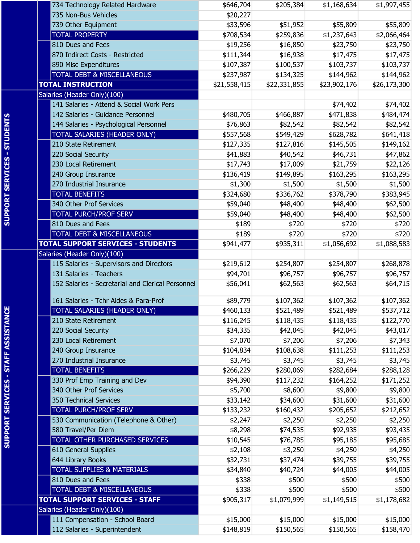|                                           | 734 Technology Related Hardware                   | \$646,704    | \$205,384    | \$1,168,634  | \$1,997,455  |
|-------------------------------------------|---------------------------------------------------|--------------|--------------|--------------|--------------|
|                                           | 735 Non-Bus Vehicles                              | \$20,227     |              |              |              |
|                                           | 739 Other Equipment                               | \$33,596     | \$51,952     | \$55,809     | \$55,809     |
|                                           | <b>TOTAL PROPERTY</b>                             | \$708,534    | \$259,836    | \$1,237,643  | \$2,066,464  |
|                                           | 810 Dues and Fees                                 | \$19,256     | \$16,850     | \$23,750     | \$23,750     |
|                                           | 870 Indirect Costs - Restricted                   | \$111,344    | \$16,938     | \$17,475     | \$17,475     |
|                                           | 890 Misc Expenditures                             | \$107,387    | \$100,537    | \$103,737    | \$103,737    |
|                                           | <b>TOTAL DEBT &amp; MISCELLANEOUS</b>             | \$237,987    | \$134,325    | \$144,962    | \$144,962    |
|                                           | <b>TOTAL INSTRUCTION</b>                          | \$21,558,415 | \$22,331,855 | \$23,902,176 | \$26,173,300 |
|                                           | Salaries (Header Only)(100)                       |              |              |              |              |
|                                           | 141 Salaries - Attend & Social Work Pers          |              |              | \$74,402     | \$74,402     |
|                                           | 142 Salaries - Guidance Personnel                 | \$480,705    | \$466,887    | \$471,838    | \$484,474    |
|                                           | 144 Salaries - Psychological Personnel            | \$76,863     | \$82,542     | \$82,542     | \$82,542     |
|                                           | TOTAL SALARIES (HEADER ONLY)                      | \$557,568    | \$549,429    | \$628,782    | \$641,418    |
|                                           | 210 State Retirement                              | \$127,335    | \$127,816    | \$145,505    | \$149,162    |
|                                           | 220 Social Security                               | \$41,883     | \$40,542     | \$46,731     | \$47,862     |
|                                           | 230 Local Retirement                              | \$17,743     | \$17,009     | \$21,759     | \$22,126     |
|                                           | 240 Group Insurance                               | \$136,419    | \$149,895    | \$163,295    | \$163,295    |
|                                           | 270 Industrial Insurance                          | \$1,300      | \$1,500      | \$1,500      | \$1,500      |
|                                           | <b>TOTAL BENEFITS</b>                             | \$324,680    | \$336,762    | \$378,790    | \$383,945    |
|                                           | 340 Other Prof Services                           | \$59,040     | \$48,400     | \$48,400     | \$62,500     |
|                                           | <b>TOTAL PURCH/PROF SERV</b>                      | \$59,040     | \$48,400     | \$48,400     | \$62,500     |
| <b>SUPPORT SERVICES - STUDENTS</b>        | 810 Dues and Fees                                 | \$189        | \$720        | \$720        | \$720        |
|                                           | <b>TOTAL DEBT &amp; MISCELLANEOUS</b>             | \$189        | \$720        | \$720        | \$720        |
|                                           | <b>TOTAL SUPPORT SERVICES - STUDENTS</b>          | \$941,477    | \$935,311    | \$1,056,692  | \$1,088,583  |
|                                           | Salaries (Header Only)(100)                       |              |              |              |              |
|                                           | 115 Salaries - Supervisors and Directors          | \$219,612    | \$254,807    | \$254,807    | \$268,878    |
|                                           | 131 Salaries - Teachers                           | \$94,701     | \$96,757     | \$96,757     | \$96,757     |
|                                           | 152 Salaries - Secretarial and Clerical Personnel | \$56,041     | \$62,563     | \$62,563     | \$64,715     |
|                                           |                                                   |              |              |              |              |
|                                           | 161 Salaries - Tchr Aides & Para-Prof             | \$89,779     | \$107,362    | \$107,362    | \$107,362    |
|                                           | TOTAL SALARIES (HEADER ONLY)                      | \$460,133    | \$521,489    | \$521,489    | \$537,712    |
| <b>SUPPORT SERVICES - STAFF ASSISTANC</b> | 210 State Retirement                              | \$116,245    | \$118,435    | \$118,435    | \$122,770    |
|                                           | 220 Social Security                               | \$34,335     | \$42,045     | \$42,045     | \$43,017     |
|                                           | 230 Local Retirement                              | \$7,070      | \$7,206      | \$7,206      | \$7,343      |
|                                           | 240 Group Insurance                               | \$104,834    | \$108,638    | \$111,253    | \$111,253    |
|                                           | 270 Industrial Insurance                          | \$3,745      | \$3,745      | \$3,745      | \$3,745      |
|                                           | <b>TOTAL BENEFITS</b>                             | \$266,229    | \$280,069    | \$282,684    | \$288,128    |
|                                           | 330 Prof Emp Training and Dev                     | \$94,390     | \$117,232    | \$164,252    | \$171,252    |
|                                           | 340 Other Prof Services                           | \$5,700      | \$8,600      | \$9,800      | \$9,800      |
|                                           | 350 Technical Services                            | \$33,142     | \$34,600     | \$31,600     | \$31,600     |
|                                           | <b>TOTAL PURCH/PROF SERV</b>                      | \$133,232    | \$160,432    | \$205,652    | \$212,652    |
|                                           | 530 Communication (Telephone & Other)             | \$2,247      | \$2,250      | \$2,250      | \$2,250      |
|                                           | 580 Travel/Per Diem                               | \$8,298      | \$74,535     | \$92,935     | \$93,435     |
|                                           | TOTAL OTHER PURCHASED SERVICES                    | \$10,545     | \$76,785     | \$95,185     | \$95,685     |
|                                           | 610 General Supplies                              | \$2,108      | \$3,250      | \$4,250      | \$4,250      |
|                                           | 644 Library Books                                 | \$32,731     | \$37,474     | \$39,755     | \$39,755     |
|                                           | TOTAL SUPPLIES & MATERIALS                        | \$34,840     | \$40,724     | \$44,005     | \$44,005     |
|                                           | 810 Dues and Fees                                 | \$338        | \$500        | \$500        | \$500        |
|                                           | <b>TOTAL DEBT &amp; MISCELLANEOUS</b>             | \$338        | \$500        | \$500        | \$500        |
|                                           | <b>TOTAL SUPPORT SERVICES - STAFF</b>             | \$905,317    | \$1,079,999  | \$1,149,515  | \$1,178,682  |
|                                           | Salaries (Header Only)(100)                       |              |              |              |              |
|                                           | 111 Compensation - School Board                   | \$15,000     | \$15,000     | \$15,000     | \$15,000     |
|                                           | 112 Salaries - Superintendent                     | \$148,819    | \$150,565    | \$150,565    | \$158,470    |
|                                           |                                                   |              |              |              |              |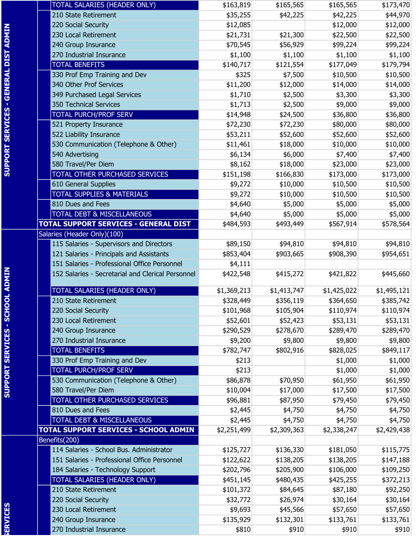|                                       | TOTAL SALARIES (HEADER ONLY)                      | \$163,819   | \$165,565   | \$165,565   | \$173,470   |
|---------------------------------------|---------------------------------------------------|-------------|-------------|-------------|-------------|
|                                       | 210 State Retirement                              | \$35,255    | \$42,225    | \$42,225    | \$44,970    |
|                                       | 220 Social Security                               | \$12,085    |             | \$12,000    | \$12,000    |
| SUPPORT SERVICES - GENERAL DIST ADMIN | 230 Local Retirement                              | \$21,731    | \$21,300    | \$22,500    | \$22,500    |
|                                       | 240 Group Insurance                               | \$70,545    | \$56,929    | \$99,224    | \$99,224    |
|                                       | 270 Industrial Insurance                          | \$1,100     | \$1,100     | \$1,100     | \$1,100     |
|                                       | <b>TOTAL BENEFITS</b>                             | \$140,717   | \$121,554   | \$177,049   | \$179,794   |
|                                       | 330 Prof Emp Training and Dev                     | \$325       | \$7,500     | \$10,500    | \$10,500    |
|                                       | 340 Other Prof Services                           | \$11,200    | \$12,000    | \$14,000    | \$14,000    |
|                                       | 349 Purchased Legal Services                      | \$1,710     | \$2,500     | \$3,300     | \$3,300     |
|                                       | 350 Technical Services                            | \$1,713     | \$2,500     | \$9,000     | \$9,000     |
|                                       | <b>TOTAL PURCH/PROF SERV</b>                      | \$14,948    | \$24,500    | \$36,800    | \$36,800    |
|                                       | 521 Property Insurance                            | \$72,230    | \$72,230    | \$80,000    | \$80,000    |
|                                       | 522 Liability Insurance                           | \$53,211    | \$52,600    | \$52,600    | \$52,600    |
|                                       | 530 Communication (Telephone & Other)             | \$11,461    | \$18,000    | \$10,000    |             |
|                                       | 540 Advertising                                   |             |             |             | \$10,000    |
|                                       |                                                   | \$6,134     | \$6,000     | \$7,400     | \$7,400     |
|                                       | 580 Travel/Per Diem                               | \$8,162     | \$18,000    | \$23,000    | \$23,000    |
|                                       | TOTAL OTHER PURCHASED SERVICES                    | \$151,198   | \$166,830   | \$173,000   | \$173,000   |
|                                       | 610 General Supplies                              | \$9,272     | \$10,000    | \$10,500    | \$10,500    |
|                                       | <b>TOTAL SUPPLIES &amp; MATERIALS</b>             | \$9,272     | \$10,000    | \$10,500    | \$10,500    |
|                                       | 810 Dues and Fees                                 | \$4,640     | \$5,000     | \$5,000     | \$5,000     |
|                                       | <b>TOTAL DEBT &amp; MISCELLANEOUS</b>             | \$4,640     | \$5,000     | \$5,000     | \$5,000     |
|                                       | <b>TOTAL SUPPORT SERVICES - GENERAL DIST</b>      | \$484,593   | \$493,449   | \$567,914   | \$578,564   |
|                                       | Salaries (Header Only)(100)                       |             |             |             |             |
|                                       | 115 Salaries - Supervisors and Directors          | \$89,150    | \$94,810    | \$94,810    | \$94,810    |
|                                       | 121 Salaries - Principals and Assistants          | \$853,404   | \$903,665   | \$908,390   | \$954,651   |
|                                       | 151 Salaries - Professional Office Personnel      | \$4,111     |             |             |             |
| <b>DOL ADMIN</b>                      | 152 Salaries - Secretarial and Clerical Personnel | \$422,548   | \$415,272   | \$421,822   | \$445,660   |
|                                       |                                                   |             |             |             |             |
|                                       | TOTAL SALARIES (HEADER ONLY)                      | \$1,369,213 | \$1,413,747 | \$1,425,022 | \$1,495,121 |
|                                       | 210 State Retirement                              | \$328,449   | \$356,119   | \$364,650   | \$385,742   |
| <u> 공</u>                             | 220 Social Security                               | \$101,968   | \$105,904   | \$110,974   | \$110,974   |
|                                       | 230 Local Retirement                              | \$52,601    | \$52,423    | \$53,131    | \$53,131    |
|                                       | 240 Group Insurance                               | \$290,529   | \$278,670   | \$289,470   | \$289,470   |
|                                       | 270 Industrial Insurance                          | \$9,200     | \$9,800     | \$9,800     | \$9,800     |
|                                       | <b>TOTAL BENEFITS</b>                             | \$782,747   | \$802,916   | \$828,025   | \$849,117   |
|                                       | 330 Prof Emp Training and Dev                     | \$213       |             | \$1,000     | \$1,000     |
|                                       | <b>TOTAL PURCH/PROF SERV</b>                      | \$213       |             | \$1,000     | \$1,000     |
| <b>SUPPORT SERVICES</b>               | 530 Communication (Telephone & Other)             | \$86,878    | \$70,950    | \$61,950    | \$61,950    |
|                                       | 580 Travel/Per Diem                               | \$10,004    | \$17,000    | \$17,500    | \$17,500    |
|                                       | <b>TOTAL OTHER PURCHASED SERVICES</b>             | \$96,881    | \$87,950    | \$79,450    | \$79,450    |
|                                       | 810 Dues and Fees                                 | \$2,445     | \$4,750     | \$4,750     | \$4,750     |
|                                       | <b>TOTAL DEBT &amp; MISCELLANEOUS</b>             | \$2,445     | \$4,750     | \$4,750     | \$4,750     |
|                                       | TOTAL SUPPORT SERVICES - SCHOOL ADMIN             | \$2,251,499 | \$2,309,363 | \$2,338,247 | \$2,429,438 |
|                                       | Benefits(200)                                     |             |             |             |             |
|                                       | 114 Salaries - School Bus. Administrator          | \$125,727   | \$136,330   | \$181,050   | \$115,775   |
|                                       | 151 Salaries - Professional Office Personnel      | \$122,622   | \$138,205   | \$138,205   | \$147,188   |
|                                       | 184 Salaries - Technology Support                 | \$202,796   | \$205,900   | \$106,000   | \$109,250   |
|                                       | TOTAL SALARIES (HEADER ONLY)                      | \$451,145   | \$480,435   | \$425,255   | \$372,213   |
|                                       | 210 State Retirement                              | \$101,372   | \$84,645    | \$87,180    | \$92,250    |
|                                       | 220 Social Security                               | \$32,772    | \$26,974    | \$30,164    | \$30,164    |
|                                       | 230 Local Retirement                              | \$9,693     | \$45,566    | \$57,650    | \$57,650    |
|                                       | 240 Group Insurance                               | \$135,929   | \$132,301   | \$133,761   | \$133,761   |
| ERVICES                               | 270 Industrial Insurance                          | \$810       | \$910       | \$910       | \$910       |
|                                       |                                                   |             |             |             |             |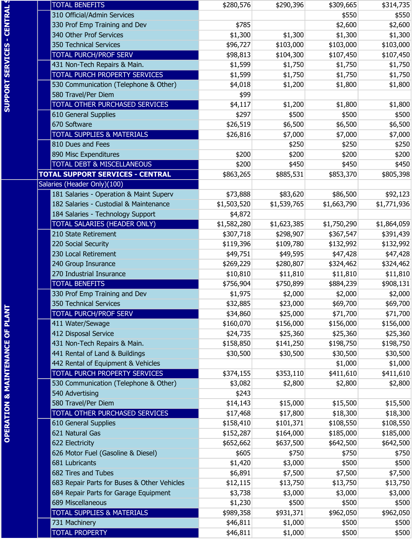|                                             | <b>TOTAL BENEFITS</b>                       | \$280,576   | \$290,396   |                    |                    |
|---------------------------------------------|---------------------------------------------|-------------|-------------|--------------------|--------------------|
|                                             | 310 Official/Admin Services                 |             |             | \$309,665<br>\$550 | \$314,735<br>\$550 |
| <b>CENTRAL</b>                              | 330 Prof Emp Training and Dev               | \$785       |             | \$2,600            | \$2,600            |
|                                             | 340 Other Prof Services                     | \$1,300     | \$1,300     | \$1,300            | \$1,300            |
|                                             | 350 Technical Services                      | \$96,727    | \$103,000   | \$103,000          | \$103,000          |
|                                             | <b>TOTAL PURCH/PROF SERV</b>                | \$98,813    | \$104,300   | \$107,450          | \$107,450          |
|                                             | 431 Non-Tech Repairs & Main.                | \$1,599     | \$1,750     | \$1,750            | \$1,750            |
|                                             | TOTAL PURCH PROPERTY SERVICES               | \$1,599     | \$1,750     | \$1,750            | \$1,750            |
| <b>SUPPORT SERVICES</b>                     | 530 Communication (Telephone & Other)       | \$4,018     | \$1,200     | \$1,800            | \$1,800            |
|                                             | 580 Travel/Per Diem                         | \$99        |             |                    |                    |
|                                             | TOTAL OTHER PURCHASED SERVICES              | \$4,117     | \$1,200     | \$1,800            | \$1,800            |
|                                             | 610 General Supplies                        | \$297       | \$500       | \$500              | \$500              |
|                                             | 670 Software                                | \$26,519    | \$6,500     | \$6,500            | \$6,500            |
|                                             | <b>TOTAL SUPPLIES &amp; MATERIALS</b>       | \$26,816    | \$7,000     | \$7,000            | \$7,000            |
|                                             | 810 Dues and Fees                           |             | \$250       | \$250              | \$250              |
|                                             | 890 Misc Expenditures                       | \$200       | \$200       | \$200              | \$200              |
|                                             | <b>TOTAL DEBT &amp; MISCELLANEOUS</b>       | \$200       | \$450       | \$450              | \$450              |
|                                             | <b>TOTAL SUPPORT SERVICES - CENTRAL</b>     | \$863,265   | \$885,531   | \$853,370          | \$805,398          |
|                                             | Salaries (Header Only)(100)                 |             |             |                    |                    |
|                                             | 181 Salaries - Operation & Maint Superv     | \$73,888    | \$83,620    | \$86,500           | \$92,123           |
|                                             | 182 Salaries - Custodial & Maintenance      | \$1,503,520 | \$1,539,765 | \$1,663,790        | \$1,771,936        |
|                                             | 184 Salaries - Technology Support           | \$4,872     |             |                    |                    |
|                                             | TOTAL SALARIES (HEADER ONLY)                | \$1,582,280 | \$1,623,385 | \$1,750,290        | \$1,864,059        |
|                                             | 210 State Retirement                        | \$307,718   | \$298,907   | \$367,547          | \$391,439          |
|                                             | 220 Social Security                         | \$119,396   | \$109,780   | \$132,992          | \$132,992          |
|                                             | 230 Local Retirement                        | \$49,751    | \$49,595    | \$47,428           | \$47,428           |
|                                             | 240 Group Insurance                         | \$269,229   | \$280,807   | \$324,462          | \$324,462          |
|                                             | 270 Industrial Insurance                    | \$10,810    | \$11,810    | \$11,810           | \$11,810           |
|                                             | <b>TOTAL BENEFITS</b>                       | \$756,904   | \$750,899   | \$884,239          | \$908,131          |
|                                             | 330 Prof Emp Training and Dev               | \$1,975     | \$2,000     | \$2,000            | \$2,000            |
|                                             | 350 Technical Services                      | \$32,885    | \$23,000    | \$69,700           | \$69,700           |
|                                             | <b>TOTAL PURCH/PROF SERV</b>                | \$34,860    | \$25,000    | \$71,700           | \$71,700           |
|                                             | 411 Water/Sewage                            | \$160,070   | \$156,000   | \$156,000          | \$156,000          |
|                                             | 412 Disposal Service                        | \$24,735    | \$25,360    | \$25,360           | \$25,360           |
|                                             | 431 Non-Tech Repairs & Main.                | \$158,850   | \$141,250   | \$198,750          | \$198,750          |
|                                             | 441 Rental of Land & Buildings              | \$30,500    | \$30,500    | \$30,500           | \$30,500           |
|                                             | 442 Rental of Equipment & Vehicles          |             |             | \$1,000            | \$1,000            |
| <b>OPERATION &amp; MAINTENANCE OF PLANT</b> | TOTAL PURCH PROPERTY SERVICES               | \$374,155   | \$353,110   | \$411,610          | \$411,610          |
|                                             | 530 Communication (Telephone & Other)       | \$3,082     | \$2,800     | \$2,800            | \$2,800            |
|                                             | 540 Advertising                             | \$243       |             |                    |                    |
|                                             | 580 Travel/Per Diem                         | \$14,143    | \$15,000    | \$15,500           | \$15,500           |
|                                             | TOTAL OTHER PURCHASED SERVICES              | \$17,468    | \$17,800    | \$18,300           | \$18,300           |
|                                             | 610 General Supplies                        | \$158,410   | \$101,371   | \$108,550          | \$108,550          |
|                                             | 621 Natural Gas                             | \$152,287   | \$164,000   | \$185,000          | \$185,000          |
|                                             | 622 Electricity                             | \$652,662   | \$637,500   | \$642,500          | \$642,500          |
|                                             | 626 Motor Fuel (Gasoline & Diesel)          | \$605       | \$750       | \$750              | \$750              |
|                                             | 681 Lubricants                              | \$1,420     | \$3,000     | \$500              | \$500              |
|                                             | 682 Tires and Tubes                         | \$6,891     | \$7,500     | \$7,500            | \$7,500            |
|                                             | 683 Repair Parts for Buses & Other Vehicles | \$12,115    | \$13,750    | \$13,750           | \$13,750           |
|                                             | 684 Repair Parts for Garage Equipment       | \$3,738     | \$3,000     | \$3,000            | \$3,000            |
|                                             | 689 Miscellaneous                           | \$1,230     | \$500       | \$500              | \$500              |
|                                             | <b>TOTAL SUPPLIES &amp; MATERIALS</b>       | \$989,358   | \$931,371   | \$962,050          | \$962,050          |
|                                             | 731 Machinery                               | \$46,811    | \$1,000     | \$500              | \$500              |
|                                             | <b>TOTAL PROPERTY</b>                       | \$46,811    | \$1,000     | \$500              | \$500              |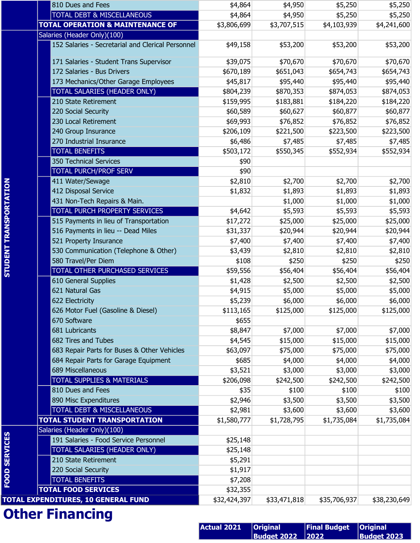|                               | 810 Dues and Fees                                 | \$4,864            | \$4,950            | \$5,250             | \$5,250            |
|-------------------------------|---------------------------------------------------|--------------------|--------------------|---------------------|--------------------|
|                               | <b>TOTAL DEBT &amp; MISCELLANEOUS</b>             | \$4,864            | \$4,950            | \$5,250             | \$5,250            |
|                               | <b>TOTAL OPERATION &amp; MAINTENANCE OF</b>       | \$3,806,699        | \$3,707,515        | \$4,103,939         | \$4,241,600        |
|                               | Salaries (Header Only)(100)                       |                    |                    |                     |                    |
|                               | 152 Salaries - Secretarial and Clerical Personnel | \$49,158           | \$53,200           | \$53,200            | \$53,200           |
|                               | 171 Salaries - Student Trans Supervisor           | \$39,075           | \$70,670           | \$70,670            | \$70,670           |
|                               | 172 Salaries - Bus Drivers                        | \$670,189          | \$651,043          | \$654,743           | \$654,743          |
|                               | 173 Mechanics/Other Garage Employees              | \$45,817           | \$95,440           | \$95,440            | \$95,440           |
|                               | TOTAL SALARIES (HEADER ONLY)                      | \$804,239          | \$870,353          | \$874,053           | \$874,053          |
|                               | 210 State Retirement                              | \$159,995          | \$183,881          | \$184,220           | \$184,220          |
|                               | 220 Social Security                               | \$60,589           | \$60,627           | \$60,877            | \$60,877           |
|                               | 230 Local Retirement                              | \$69,993           | \$76,852           | \$76,852            | \$76,852           |
|                               | 240 Group Insurance                               | \$206,109          | \$221,500          | \$223,500           | \$223,500          |
|                               | 270 Industrial Insurance                          | \$6,486            | \$7,485            | \$7,485             | \$7,485            |
|                               | <b>TOTAL BENEFITS</b>                             | \$503,172          | \$550,345          | \$552,934           | \$552,934          |
|                               | 350 Technical Services                            | \$90               |                    |                     |                    |
|                               | <b>TOTAL PURCH/PROF SERV</b>                      | \$90               |                    |                     |                    |
|                               | 411 Water/Sewage                                  | \$2,810            | \$2,700            | \$2,700             | \$2,700            |
|                               | 412 Disposal Service                              | \$1,832            | \$1,893            | \$1,893             | \$1,893            |
|                               | 431 Non-Tech Repairs & Main.                      |                    | \$1,000            | \$1,000             | \$1,000            |
|                               | TOTAL PURCH PROPERTY SERVICES                     | \$4,642            | \$5,593            | \$5,593             | \$5,593            |
|                               | 515 Payments in lieu of Transportation            | \$17,272           | \$25,000           | \$25,000            | \$25,000           |
|                               | 516 Payments in lieu -- Dead Miles                | \$31,337           | \$20,944           | \$20,944            | \$20,944           |
|                               | 521 Property Insurance                            | \$7,400            | \$7,400            | \$7,400             | \$7,400            |
|                               | 530 Communication (Telephone & Other)             | \$3,439            | \$2,810            | \$2,810             | \$2,810            |
|                               | 580 Travel/Per Diem                               | \$108              | \$250              | \$250               | \$250              |
| <b>STUDENT TRANSPORTATION</b> | TOTAL OTHER PURCHASED SERVICES                    | \$59,556           | \$56,404           | \$56,404            | \$56,404           |
|                               | 610 General Supplies                              | \$1,428            | \$2,500            | \$2,500             | \$2,500            |
|                               | 621 Natural Gas                                   | \$4,915            | \$5,000            | \$5,000             | \$5,000            |
|                               | 622 Electricity                                   | \$5,239            | \$6,000            | \$6,000             | \$6,000            |
|                               | 626 Motor Fuel (Gasoline & Diesel)                | \$113,165          | \$125,000          | \$125,000           | \$125,000          |
|                               | 670 Software                                      | \$655              |                    |                     |                    |
|                               | 681 Lubricants                                    | \$8,847            | \$7,000            | \$7,000             | \$7,000            |
|                               | 682 Tires and Tubes                               | \$4,545            | \$15,000           | \$15,000            | \$15,000           |
|                               | 683 Repair Parts for Buses & Other Vehicles       | \$63,097           | \$75,000           | \$75,000            | \$75,000           |
|                               | 684 Repair Parts for Garage Equipment             | \$685              | \$4,000            | \$4,000             | \$4,000            |
|                               | 689 Miscellaneous                                 | \$3,521            | \$3,000            | \$3,000             | \$3,000            |
|                               | <b>TOTAL SUPPLIES &amp; MATERIALS</b>             | \$206,098          | \$242,500          | \$242,500           | \$242,500          |
|                               | 810 Dues and Fees                                 | \$35               | \$100              | \$100               | \$100              |
|                               | 890 Misc Expenditures                             | \$2,946            | \$3,500            | \$3,500             | \$3,500            |
|                               | TOTAL DEBT & MISCELLANEOUS                        | \$2,981            | \$3,600            | \$3,600             | \$3,600            |
|                               | <b>TOTAL STUDENT TRANSPORTATION</b>               | \$1,580,777        | \$1,728,795        | \$1,735,084         | \$1,735,084        |
|                               | Salaries (Header Only)(100)                       |                    |                    |                     |                    |
| <b>FOOD SERVICES</b>          | 191 Salaries - Food Service Personnel             | \$25,148           |                    |                     |                    |
|                               | TOTAL SALARIES (HEADER ONLY)                      | \$25,148           |                    |                     |                    |
|                               | 210 State Retirement                              | \$5,291            |                    |                     |                    |
|                               | 220 Social Security                               | \$1,917            |                    |                     |                    |
|                               | <b>TOTAL BENEFITS</b>                             | \$7,208            |                    |                     |                    |
|                               | <b>TOTAL FOOD SERVICES</b>                        | \$32,355           |                    |                     |                    |
|                               | TOTAL EXPENDITURES, 10 GENERAL FUND               | \$32,424,397       | \$33,471,818       | \$35,706,937        | \$38,230,649       |
|                               |                                                   |                    |                    |                     |                    |
|                               | <b>Other Financing</b>                            |                    |                    |                     |                    |
|                               |                                                   | <b>Actual 2021</b> | <b>Original</b>    | <b>Final Budget</b> | <b>Original</b>    |
|                               |                                                   |                    | <b>Budget 2022</b> | 2022                | <b>Budget 2023</b> |

| <b>Actual 2021</b> | $ $ Original            | <b>Final Budget   Original</b> |                                  |
|--------------------|-------------------------|--------------------------------|----------------------------------|
|                    | <b>Budget 2022 2022</b> |                                | $\vert$ Budget 2023 <sup>1</sup> |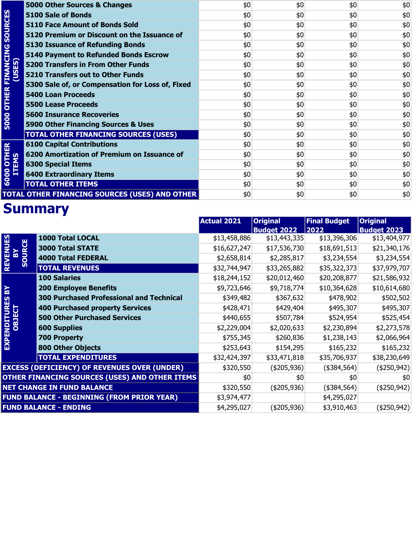|                                     | 5000 Other Sources & Changes                          | \$0                | \$0                | \$0                 | \$0                |
|-------------------------------------|-------------------------------------------------------|--------------------|--------------------|---------------------|--------------------|
| <b>5000 OTHER FINANCING SOURCES</b> | <b>5100 Sale of Bonds</b>                             | \$0                | \$0                | \$0                 | \$0                |
|                                     | <b>5110 Face Amount of Bonds Sold</b>                 | \$0                | \$0                | \$0                 | \$0                |
|                                     | 5120 Premium or Discount on the Issuance of           | \$0                | \$0                | \$0                 | \$0                |
|                                     | <b>5130 Issuance of Refunding Bonds</b>               | \$0                | \$0                | \$0                 | \$0                |
|                                     | <b>5140 Payment to Refunded Bonds Escrow</b>          | \$0                | \$0                | \$0                 | \$0                |
|                                     | <b>5200 Transfers in From Other Funds</b>             | \$0                | \$0                | \$0                 | \$0                |
| (USES)                              | <b>5210 Transfers out to Other Funds</b>              | \$0                | \$0                | \$0                 | \$0                |
|                                     | 5300 Sale of, or Compensation for Loss of, Fixed      | \$0                | \$0                | \$0                 | \$0                |
|                                     | <b>5400 Loan Proceeds</b>                             | \$0                | \$0                | \$0                 | \$0                |
|                                     | <b>5500 Lease Proceeds</b>                            | \$0                | \$0                | \$0                 | \$0                |
|                                     | <b>5600 Insurance Recoveries</b>                      | \$0                | \$0                | \$0                 | \$0                |
|                                     | 5900 Other Financing Sources & Uses                   | \$0                | \$0                | \$0                 | \$0                |
|                                     | <b>TOTAL OTHER FINANCING SOURCES (USES)</b>           | \$0                | \$0                | \$0                 | \$0                |
|                                     | <b>6100 Capital Contributions</b>                     | \$0                | \$0                | \$0                 | \$0                |
|                                     | 6200 Amortization of Premium on Issuance of           | \$0                | \$0                | \$0                 | \$0                |
|                                     | <b>6300 Special Items</b>                             | \$0                | \$0                | \$0                 | \$0                |
| <b>6000 OTHER</b><br>ITEMS          | <b>6400 Extraordinary Items</b>                       | \$0                | \$0                | \$0                 | \$0                |
|                                     | <b>TOTAL OTHER ITEMS</b>                              | \$0                | \$0                | \$0                 | $$0$$              |
|                                     | <b>TOTAL OTHER FINANCING SOURCES (USES) AND OTHER</b> | \$0                | \$0                | \$0                 | \$0                |
|                                     | <b>Summary</b>                                        |                    |                    |                     |                    |
|                                     |                                                       | <b>Actual 2021</b> | <b>Original</b>    | <b>Final Budget</b> | <b>Original</b>    |
|                                     |                                                       |                    | <b>Budget 2022</b> | $\boxed{2022}$      | <b>Budget 2023</b> |
| <b>REVENUES</b>                     | 1000 Total LOCAL                                      | \$13,458,886       | \$13,443,335       | \$13,396,306        | \$13,404,977       |
| ≧                                   | SOURCE<br><b>3000 Total STATE</b>                     | \$16,627,247       | \$17,536,730       | \$18,691,513        | \$21,340,176       |
|                                     | <b>4000 Total FEDERAL</b>                             | \$2,658,814        | \$2,285,817        | \$3,234,554         | \$3,234,554        |
|                                     | <b>TOTAL REVENUES</b>                                 | \$32,744,947       | \$33,265,882       | \$35,322,373        | \$37,979,707       |

|                                                   |                                                     | <b>Actual 2021</b> | <b>Original</b>    | <b>Final Budget</b> | <b>Original</b>    |
|---------------------------------------------------|-----------------------------------------------------|--------------------|--------------------|---------------------|--------------------|
|                                                   |                                                     |                    | <b>Budget 2022</b> | $\boxed{2022}$      | <b>Budget 2023</b> |
|                                                   | 1000 Total LOCAL                                    | \$13,458,886       | \$13,443,335       | \$13,396,306        | \$13,404,977       |
|                                                   | <b>3000 Total STATE</b>                             | \$16,627,247       | \$17,536,730       | \$18,691,513        | \$21,340,176       |
| REVENUES<br>BY<br>SOURCE                          | <b>4000 Total FEDERAL</b>                           | \$2,658,814        | \$2,285,817        | \$3,234,554         | \$3,234,554        |
|                                                   | <b>TOTAL REVENUES</b>                               | \$32,744,947       | \$33,265,882       | \$35,322,373        | \$37,979,707       |
|                                                   | <b>100 Salaries</b>                                 | \$18,244,152       | \$20,012,460       | \$20,208,877        | \$21,586,932       |
| $\mathbf{B}^{\prime}$                             | <b>200 Employee Benefits</b>                        | \$9,723,646        | \$9,718,774        | \$10,364,628        | \$10,614,680       |
|                                                   | <b>300 Purchased Professional and Technical</b>     | \$349,482          | \$367,632          | \$478,902           | \$502,502          |
|                                                   | <b>400 Purchased property Services</b>              | \$428,471          | \$429,404          | \$495,307           | \$495,307          |
|                                                   | <b>500 Other Purchased Services</b>                 | \$440,655          | \$507,784          | \$524,954           | \$525,454          |
|                                                   | <b>600 Supplies</b>                                 | \$2,229,004        | \$2,020,633        | \$2,230,894         | \$2,273,578        |
|                                                   | <b>700 Property</b>                                 | \$755,345          | \$260,836          | \$1,238,143         | \$2,066,964        |
| EXPENDITURES<br>OBJECT                            | <b>800 Other Objects</b>                            | \$253,643          | \$154,295          | \$165,232           | \$165,232          |
|                                                   | <b>TOTAL EXPENDITURES</b>                           | \$32,424,397       | \$33,471,818       | \$35,706,937        | \$38,230,649       |
|                                                   | <b>EXCESS (DEFICIENCY) OF REVENUES OVER (UNDER)</b> | \$320,550          | $($ \$205,936) $ $ | (\$384,564)         | $($ \$250,942) $ $ |
| OTHER FINANCING SOURCES (USES) AND OTHER ITEMS    |                                                     | \$0                | \$0                | \$0                 | \$0                |
| <b>NET CHANGE IN FUND BALANCE</b>                 |                                                     | \$320,550          | $($ \$205,936) $ $ | $(*384,564)$        | $(*250,942)$       |
| <b>FUND BALANCE - BEGINNING (FROM PRIOR YEAR)</b> |                                                     | \$3,974,477        |                    | \$4,295,027         |                    |
|                                                   | <b>FUND BALANCE - ENDING</b>                        | \$4,295,027        | $($ \$205,936) $ $ | \$3,910,463         | $($ \$250,942) $ $ |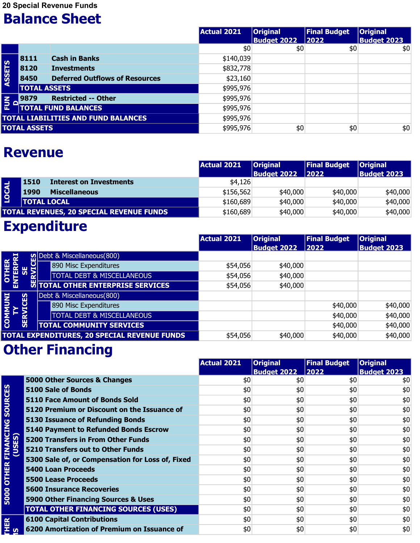20 Special Revenue Funds

#### Balance Sheet

|                 |                     |                                            | Actual 2021 | <b>Original</b><br><b>Budget 2022</b> | <b>Final Budget</b><br>$ 2022 $ | <b>Original</b><br><b>Budget 2023</b> |
|-----------------|---------------------|--------------------------------------------|-------------|---------------------------------------|---------------------------------|---------------------------------------|
|                 |                     |                                            | \$0         | \$0                                   | \$0                             | \$0                                   |
|                 | 8111                | <b>Cash in Banks</b>                       | \$140,039   |                                       |                                 |                                       |
| <b>ASSETS</b>   | 8120                | <b>Investments</b>                         | \$832,778   |                                       |                                 |                                       |
|                 | 8450                | <b>Deferred Outflows of Resources</b>      | \$23,160    |                                       |                                 |                                       |
|                 |                     | <b>TOTAL ASSETS</b>                        | \$995,976   |                                       |                                 |                                       |
| $\frac{2}{5}$ o | 9879                | <b>Restricted -- Other</b>                 | \$995,976   |                                       |                                 |                                       |
|                 |                     | <b>TOTAL FUND BALANCES</b>                 | \$995,976   |                                       |                                 |                                       |
|                 |                     | <b>TOTAL LIABILITIES AND FUND BALANCES</b> | \$995,976   |                                       |                                 |                                       |
|                 | <b>TOTAL ASSETS</b> |                                            | \$995,976   | \$0                                   | \$0                             | \$0                                   |

#### Revenue

|       | 9879<br><b>Restricted -- Other</b>         | \$995,976            |                    |                     |                    |
|-------|--------------------------------------------|----------------------|--------------------|---------------------|--------------------|
| ᅙ     | <b>TOTAL FUND BALANCES</b>                 | \$995,976            |                    |                     |                    |
|       | <b>TOTAL LIABILITIES AND FUND BALANCES</b> | \$995,976            |                    |                     |                    |
|       | <b>TOTAL ASSETS</b>                        | \$995,976            | \$0                | \$0                 | \$0                |
|       |                                            |                      |                    |                     |                    |
|       | <b>Revenue</b>                             | Actual 2021          | <b>Original</b>    | <b>Final Budget</b> | <b>Original</b>    |
|       | <b>Interest on Investments</b><br>1510     |                      | <b>Budget 2022</b> | 2022                | <b>Budget 2023</b> |
|       | <b>Miscellaneous</b><br>1990               | \$4,126<br>\$156,562 | \$40,000           | \$40,000            | \$40,000           |
| LOCAL | <b>TOTAL LOCAL</b>                         | \$160,689            | \$40,000           | \$40,000            | \$40,000           |

### Expenditure

|                           |   |                                                     | <b>Actual 2021</b> | <b>Original</b>    | <b>Final Budget</b> | <b>Original</b>    |
|---------------------------|---|-----------------------------------------------------|--------------------|--------------------|---------------------|--------------------|
|                           |   |                                                     |                    | <b>Budget 2022</b> | 2022                | <b>Budget 2023</b> |
| 분                         |   | $\Omega$ Debt & Miscellaneous (800)                 |                    |                    |                     |                    |
| ier<br>es                 | 5 | 890 Misc Expenditures                               | \$54,056           | \$40,000           |                     |                    |
| <b>HENLE</b>              |   | <b>TOTAL DEBT &amp; MISCELLANEOUS</b>               | \$54,056           | \$40,000           |                     |                    |
|                           |   | <b>EXTERPATE SERVICES</b>                           | \$54,056           | \$40,000           |                     |                    |
|                           |   | Debt & Miscellaneous(800)                           |                    |                    |                     |                    |
|                           |   | 890 Misc Expenditures                               |                    |                    | \$40,000            | \$40,000           |
| COMMUNI<br>TY<br>SERVICES |   | <b>TOTAL DEBT &amp; MISCELLANEOUS</b>               |                    |                    | \$40,000            | \$40,000           |
|                           |   | <b>TOTAL COMMUNITY SERVICES</b>                     |                    |                    | \$40,000            | \$40,000           |
|                           |   | <b>TOTAL EXPENDITURES, 20 SPECIAL REVENUE FUNDS</b> | \$54,056           | \$40,000           | \$40,000            | \$40,000           |

|                                     | Debt & Miscellaneous(800)                        |                    |                                       |                             |                                       |
|-------------------------------------|--------------------------------------------------|--------------------|---------------------------------------|-----------------------------|---------------------------------------|
| <b>COMMUNI</b>                      | <b>SERVICES</b><br>890 Misc Expenditures         |                    |                                       | \$40,000                    | \$40,000                              |
|                                     | <b>TOTAL DEBT &amp; MISCELLANEOUS</b>            |                    |                                       | \$40,000                    | \$40,000                              |
|                                     | <b>TOTAL COMMUNITY SERVICES</b>                  |                    |                                       | \$40,000                    | \$40,000                              |
|                                     | TOTAL EXPENDITURES, 20 SPECIAL REVENUE FUNDS     | \$54,056           | \$40,000                              | \$40,000                    | \$40,000                              |
|                                     | <b>Other Financing</b>                           |                    |                                       |                             |                                       |
|                                     |                                                  | <b>Actual 2021</b> | <b>Original</b><br><b>Budget 2022</b> | <b>Final Budget</b><br>2022 | <b>Original</b><br><b>Budget 2023</b> |
|                                     | 5000 Other Sources & Changes                     | \$0                | \$0                                   | \$0                         | \$0                                   |
|                                     | <b>5100 Sale of Bonds</b>                        | \$0                | \$0                                   | \$0                         | \$0                                   |
| <b>5000 OTHER FINANCING SOURCES</b> | <b>5110 Face Amount of Bonds Sold</b>            | \$0                | \$0                                   | \$0                         | \$0                                   |
|                                     | 5120 Premium or Discount on the Issuance of      | \$0                | \$0                                   | \$0                         | \$0                                   |
|                                     | <b>5130 Issuance of Refunding Bonds</b>          | \$0                | \$0                                   | \$0                         | \$0                                   |
|                                     | <b>5140 Payment to Refunded Bonds Escrow</b>     | \$0                | \$0                                   | \$0                         | \$0                                   |
| (USES)                              | <b>5200 Transfers in From Other Funds</b>        | \$0                | \$0                                   | \$0                         | $$0$$                                 |
|                                     | <b>5210 Transfers out to Other Funds</b>         | \$0                | \$0                                   | \$0                         | \$0                                   |
|                                     | 5300 Sale of, or Compensation for Loss of, Fixed | \$0                | \$0                                   | \$0                         | \$0                                   |
|                                     | <b>5400 Loan Proceeds</b>                        | \$0                | \$0                                   | \$0                         | \$0                                   |
|                                     | <b>5500 Lease Proceeds</b>                       | \$0                | \$0                                   | \$0                         | \$0                                   |
|                                     | <b>5600 Insurance Recoveries</b>                 | \$0                | \$0                                   | \$0                         | \$0                                   |
|                                     | 5900 Other Financing Sources & Uses              | \$0                | \$0                                   | \$0                         | \$0                                   |
|                                     | <b>TOTAL OTHER FINANCING SOURCES (USES)</b>      | \$0                | \$0                                   | \$0                         | \$0                                   |
| $\mathbf{R}$                        | <b>6100 Capital Contributions</b>                | \$0                | \$0                                   | \$0                         | \$0\$                                 |
| ∄ ທ                                 | 6200 Amortization of Premium on Issuance of      | \$0                | \$0                                   | \$0                         | \$0                                   |
|                                     |                                                  |                    |                                       |                             |                                       |
|                                     |                                                  |                    |                                       |                             |                                       |
|                                     |                                                  |                    |                                       |                             |                                       |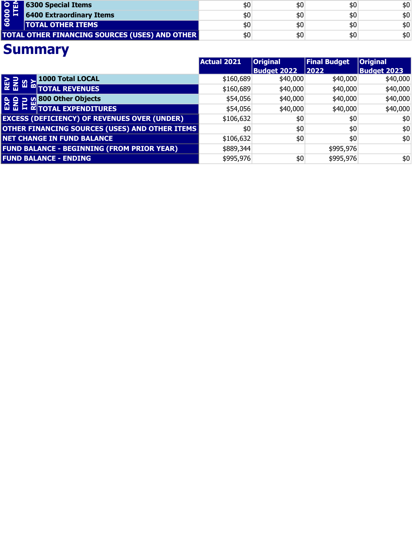| $\overline{\mathsf{O}}$ in $\overline{\mathsf{m}}$ in | <b>6300 Special Items</b>                             | \$0         | \$0                | \$0                 | \$0                |
|-------------------------------------------------------|-------------------------------------------------------|-------------|--------------------|---------------------|--------------------|
| 6000<br>ITI                                           | <b>6400 Extraordinary Items</b>                       | \$0         | \$0                | \$0                 | \$0                |
|                                                       | <b>TOTAL OTHER ITEMS</b>                              | \$0         | \$0                | \$0                 | \$0                |
|                                                       | <b>TOTAL OTHER FINANCING SOURCES (USES) AND OTHER</b> | \$0         | \$0                | \$0                 | \$0                |
|                                                       | <b>Summary</b>                                        |             |                    |                     |                    |
|                                                       |                                                       | Actual 2021 | <b>Original</b>    | <b>Final Budget</b> | <b>Original</b>    |
|                                                       |                                                       |             | <b>Budget 2022</b> | 2022                | <b>Budget 2023</b> |
| <b>NEW STAR</b>                                       | 1000 Total LOCAL                                      | \$160,689   | \$40,000           | \$40,000            | \$40,000           |
|                                                       | <b>M TOTAL REVENUES</b>                               | \$160,689   | \$40,000           | \$40,000            | \$40,000           |

|                                     |                                                                                                                                                                                                                                                                                                                                           | <b>Actual 2021</b> | <b>Original</b>    | <b>Final Budget</b> | <b>Original</b>    |
|-------------------------------------|-------------------------------------------------------------------------------------------------------------------------------------------------------------------------------------------------------------------------------------------------------------------------------------------------------------------------------------------|--------------------|--------------------|---------------------|--------------------|
|                                     |                                                                                                                                                                                                                                                                                                                                           |                    | <b>Budget 2022</b> | 2022                | <b>Budget 2023</b> |
| <b>REV</b><br>ENU<br>$\frac{8}{23}$ | 1000 Total LOCAL                                                                                                                                                                                                                                                                                                                          | \$160,689          | \$40,000           | \$40,000            | \$40,000           |
|                                     | <b>TOTAL REVENUES</b>                                                                                                                                                                                                                                                                                                                     | \$160,689          | \$40,000           | \$40,000            | \$40,000           |
|                                     | <b>O</b> 800 Other Objects<br>$\frac{1}{26}$ $\frac{1}{26}$ $\frac{1}{26}$ $\frac{1}{26}$ $\frac{1}{26}$ $\frac{1}{26}$ $\frac{1}{26}$ $\frac{1}{26}$ $\frac{1}{26}$ $\frac{1}{26}$ $\frac{1}{26}$ $\frac{1}{26}$ $\frac{1}{26}$ $\frac{1}{26}$ $\frac{1}{26}$ $\frac{1}{26}$ $\frac{1}{26}$ $\frac{1}{26}$ $\frac{1}{26}$ $\frac{1}{26}$ | \$54,056           | \$40,000           | \$40,000            | \$40,000           |
|                                     |                                                                                                                                                                                                                                                                                                                                           | \$54,056           | \$40,000           | \$40,000            | \$40,000           |
|                                     | <b>EXCESS (DEFICIENCY) OF REVENUES OVER (UNDER)</b>                                                                                                                                                                                                                                                                                       | \$106,632          | \$0                | \$0                 | \$0                |
|                                     | OTHER FINANCING SOURCES (USES) AND OTHER ITEMS                                                                                                                                                                                                                                                                                            | \$0                | \$0                | \$0                 | \$0                |
|                                     | <b>NET CHANGE IN FUND BALANCE</b>                                                                                                                                                                                                                                                                                                         | \$106,632          | \$0                | \$0                 | \$0                |
|                                     | <b>FUND BALANCE - BEGINNING (FROM PRIOR YEAR)</b>                                                                                                                                                                                                                                                                                         | \$889,344          |                    | \$995,976           |                    |
|                                     | <b>FUND BALANCE - ENDING</b>                                                                                                                                                                                                                                                                                                              | \$995,976          | \$0                | \$995,976           | \$0                |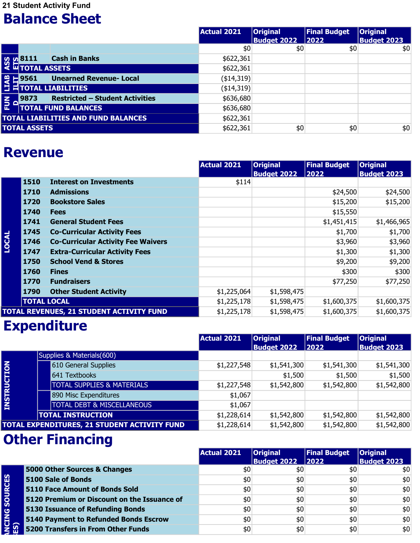21 Student Activity Fund

#### Balance Sheet

|     |                                                                                | Actual 2021  | <b>Original</b><br><b>Budget 2022</b> | <b>Final Budget</b><br>$ 2022 $ | <b>Original</b><br><b>Budget 2023</b> |
|-----|--------------------------------------------------------------------------------|--------------|---------------------------------------|---------------------------------|---------------------------------------|
|     |                                                                                | \$0          | \$0                                   | \$0                             | \$0                                   |
|     | <b>Cash in Banks</b><br><b>SOLUAR SETTLE CASH</b><br>SOLUAR TOTAL ASSETS       | \$622,361    |                                       |                                 |                                       |
|     |                                                                                | \$622,361    |                                       |                                 |                                       |
|     | e E 9561 Unearned R<br>□ = TOTAL LIABILITIES<br><b>Unearned Revenue- Local</b> | ( \$14, 319) |                                       |                                 |                                       |
|     |                                                                                | ( \$14, 319) |                                       |                                 |                                       |
| E - | <b>Restricted - Student Activities</b><br>9873                                 | \$636,680    |                                       |                                 |                                       |
|     | <b>TOTAL FUND BALANCES</b>                                                     | \$636,680    |                                       |                                 |                                       |
|     | <b>TOTAL LIABILITIES AND FUND BALANCES</b>                                     | \$622,361    |                                       |                                 |                                       |
|     | <b>TOTAL ASSETS</b>                                                            | \$622,361    | \$0                                   | \$0                             | \$0                                   |

#### Revenue

|      | <b>Unearned Revenue- Local</b>            |                                                                                                                                                                                     |                 |                                                                                                                                                                                 |                                                                                                                                                                                                                   |
|------|-------------------------------------------|-------------------------------------------------------------------------------------------------------------------------------------------------------------------------------------|-----------------|---------------------------------------------------------------------------------------------------------------------------------------------------------------------------------|-------------------------------------------------------------------------------------------------------------------------------------------------------------------------------------------------------------------|
|      |                                           |                                                                                                                                                                                     |                 |                                                                                                                                                                                 |                                                                                                                                                                                                                   |
| 9873 | <b>Restricted - Student Activities</b>    |                                                                                                                                                                                     |                 |                                                                                                                                                                                 |                                                                                                                                                                                                                   |
|      |                                           |                                                                                                                                                                                     |                 |                                                                                                                                                                                 |                                                                                                                                                                                                                   |
|      |                                           | \$622,361                                                                                                                                                                           |                 |                                                                                                                                                                                 |                                                                                                                                                                                                                   |
|      |                                           | \$622,361                                                                                                                                                                           |                 |                                                                                                                                                                                 | \$0                                                                                                                                                                                                               |
|      |                                           | <b>Actual 2021</b>                                                                                                                                                                  | <b>Original</b> | <b>Final Budget</b>                                                                                                                                                             | <b>Original</b><br><b>Budget 2023</b>                                                                                                                                                                             |
| 1510 | <b>Interest on Investments</b>            |                                                                                                                                                                                     |                 |                                                                                                                                                                                 |                                                                                                                                                                                                                   |
| 1710 | <b>Admissions</b>                         |                                                                                                                                                                                     |                 |                                                                                                                                                                                 | \$24,500                                                                                                                                                                                                          |
| 1720 | <b>Bookstore Sales</b>                    |                                                                                                                                                                                     |                 |                                                                                                                                                                                 | \$15,200                                                                                                                                                                                                          |
| 1740 | <b>Fees</b>                               |                                                                                                                                                                                     |                 |                                                                                                                                                                                 |                                                                                                                                                                                                                   |
| 1741 | <b>General Student Fees</b>               |                                                                                                                                                                                     |                 |                                                                                                                                                                                 | \$1,466,965                                                                                                                                                                                                       |
| 1745 | <b>Co-Curricular Activity Fees</b>        |                                                                                                                                                                                     |                 |                                                                                                                                                                                 | \$1,700                                                                                                                                                                                                           |
| 1746 | <b>Co-Curricular Activity Fee Waivers</b> |                                                                                                                                                                                     |                 |                                                                                                                                                                                 | \$3,960                                                                                                                                                                                                           |
| 1747 | <b>Extra-Curricular Activity Fees</b>     |                                                                                                                                                                                     |                 |                                                                                                                                                                                 | \$1,300                                                                                                                                                                                                           |
| 1750 | <b>School Vend &amp; Stores</b>           |                                                                                                                                                                                     |                 |                                                                                                                                                                                 | \$9,200                                                                                                                                                                                                           |
| 1760 | <b>Fines</b>                              |                                                                                                                                                                                     |                 |                                                                                                                                                                                 | \$300                                                                                                                                                                                                             |
| 1770 | <b>Fundraisers</b>                        |                                                                                                                                                                                     |                 |                                                                                                                                                                                 | \$77,250                                                                                                                                                                                                          |
| 1790 | <b>Other Student Activity</b>             |                                                                                                                                                                                     |                 |                                                                                                                                                                                 |                                                                                                                                                                                                                   |
|      |                                           |                                                                                                                                                                                     |                 |                                                                                                                                                                                 | \$1,600,375                                                                                                                                                                                                       |
|      |                                           |                                                                                                                                                                                     |                 |                                                                                                                                                                                 | \$1,600,375                                                                                                                                                                                                       |
|      |                                           | <b>TOTAL FUND BALANCES</b><br><b>TOTAL LIABILITIES AND FUND BALANCES</b><br><b>TOTAL ASSETS</b><br><b>Revenue</b><br><b>TOTAL LOCAL</b><br>TOTAL REVENUES, 21 STUDENT ACTIVITY FUND |                 | g = 9561 Unearned F<br>= TOTAL LIABILITIES<br>$(*14,319)$<br>( \$14, 319)<br>\$636,680<br>\$636,680<br><b>Budget 2022</b><br>\$114<br>\$1,225,064<br>\$1,225,178<br>\$1,225,178 | \$0<br>\$0<br>2022<br>\$24,500<br>\$15,200<br>\$15,550<br>\$1,451,415<br>\$1,700<br>\$3,960<br>\$1,300<br>\$9,200<br>\$300<br>\$77,250<br>\$1,598,475<br>\$1,600,375<br>\$1,598,475<br>\$1,598,475<br>\$1,600,375 |

### **Expenditure**

|                    |                                              | Actual 2021 | <b>Original</b>    | <b>Final Budget</b> | <b>Original</b>    |
|--------------------|----------------------------------------------|-------------|--------------------|---------------------|--------------------|
|                    |                                              |             | <b>Budget 2022</b> | 2022                | <b>Budget 2023</b> |
|                    | Supplies & Materials(600)                    |             |                    |                     |                    |
|                    | 610 General Supplies                         | \$1,227,548 | \$1,541,300        | \$1,541,300         | \$1,541,300        |
|                    | 641 Textbooks                                |             | \$1,500            | \$1,500             | \$1,500            |
|                    | <b>TOTAL SUPPLIES &amp; MATERIALS</b>        | \$1,227,548 | \$1,542,800        | \$1,542,800         | \$1,542,800        |
| <b>INSTRUCTION</b> | 890 Misc Expenditures                        | \$1,067     |                    |                     |                    |
|                    | <b>TOTAL DEBT &amp; MISCELLANEOUS</b>        | \$1,067     |                    |                     |                    |
|                    | <b>TOTAL INSTRUCTION</b>                     | \$1,228,614 | \$1,542,800        | \$1,542,800         | \$1,542,800        |
|                    | TOTAL EXPENDITURES, 21 STUDENT ACTIVITY FUND | \$1,228,614 | \$1,542,800        | \$1,542,800         | \$1,542,800        |

|                      |                                             | <b>Actual 2021</b> | <b>Original</b><br><b>Budget 2022</b> | <b>Final Budget</b><br>$ 2022 $ | <b>Original</b><br><b>Budget 2023</b> |
|----------------------|---------------------------------------------|--------------------|---------------------------------------|---------------------------------|---------------------------------------|
|                      | 5000 Other Sources & Changes                | \$0                | \$0                                   | \$0                             | \$0                                   |
|                      | 5100 Sale of Bonds                          | \$0                | \$0                                   | \$0                             | \$0                                   |
| <b>SOURCES</b>       | <b>5110 Face Amount of Bonds Sold</b>       | \$0                | \$0                                   | \$0                             | \$0                                   |
|                      | 5120 Premium or Discount on the Issuance of | \$0                | \$0                                   | \$0                             | \$0                                   |
|                      | <b>5130 Issuance of Refunding Bonds</b>     | \$0                | \$0                                   | \$0                             | \$0                                   |
| <b>INCING</b><br>ES) | 5140 Payment to Refunded Bonds Escrow       | \$0                | \$0                                   | \$0                             | \$0                                   |
|                      | <b>5200 Transfers in From Other Funds</b>   | \$0                | \$0                                   | \$0                             | \$0                                   |
|                      |                                             |                    |                                       |                                 |                                       |
|                      |                                             |                    |                                       |                                 |                                       |
|                      |                                             |                    |                                       |                                 |                                       |
|                      |                                             |                    |                                       |                                 |                                       |
|                      |                                             |                    |                                       |                                 |                                       |
|                      |                                             |                    |                                       |                                 |                                       |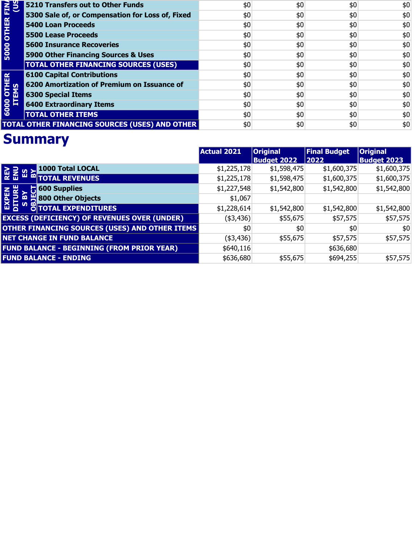| <b>500 OTHER FINA</b><br>US | 5210 Transfers out to Other Funds                     | \$0 | \$0 | \$0 | \$0 |
|-----------------------------|-------------------------------------------------------|-----|-----|-----|-----|
|                             | 5300 Sale of, or Compensation for Loss of, Fixed      | \$0 | \$0 | \$0 | \$0 |
|                             | <b>5400 Loan Proceeds</b>                             | \$0 | \$0 | \$0 | \$0 |
|                             | <b>5500 Lease Proceeds</b>                            | \$0 | \$0 | \$0 | \$0 |
|                             | <b>5600 Insurance Recoveries</b>                      | \$0 | \$0 | \$0 | \$0 |
|                             | 5900 Other Financing Sources & Uses                   | \$0 | \$0 | \$0 | \$0 |
|                             | <b>TOTAL OTHER FINANCING SOURCES (USES)</b>           | \$0 | \$0 | \$0 | \$0 |
|                             | <b>6100 Capital Contributions</b>                     | \$0 | \$0 | \$0 | \$0 |
|                             | 6200 Amortization of Premium on Issuance of           | \$0 | \$0 | \$0 | \$0 |
|                             | <b>6300 Special Items</b>                             | \$0 | \$0 | \$0 | \$0 |
| 6000 OTHER<br>ITEMS         | <b>6400 Extraordinary Items</b>                       | \$0 | \$0 | \$0 | \$0 |
|                             | <b>TOTAL OTHER ITEMS</b>                              | \$0 | \$0 | \$0 | \$0 |
|                             | <b>TOTAL OTHER FINANCING SOURCES (USES) AND OTHER</b> | \$0 | \$0 | \$0 | \$0 |

|                                                      | <b>Actual 2021</b> | <b>Original</b>    | <b>Final Budget</b> | <b>Original</b>    |
|------------------------------------------------------|--------------------|--------------------|---------------------|--------------------|
|                                                      |                    | <b>Budget 2022</b> | 2022                | <b>Budget 2023</b> |
| 1000 Total LOCAL<br><b>REV</b><br>ENU<br>$rac{2}{3}$ | \$1,225,178        | \$1,598,475        | \$1,600,375         | \$1,600,375        |
| <b>EDITOTAL REVENUES</b>                             | \$1,225,178        | \$1,598,475        | \$1,600,375         | \$1,600,375        |
| $\blacksquare$ 600 Supplies<br>룹                     | \$1,227,548        | \$1,542,800        | \$1,542,800         | \$1,542,800        |
| $\frac{11}{2}$ 800 Other Objects<br><u>ന</u><br>EXP  | \$1,067            |                    |                     |                    |
| ທ<br>മ<br><b>OTOTAL EXPENDITURES</b>                 | \$1,228,614        | \$1,542,800        | \$1,542,800         | \$1,542,800        |
| <b>EXCESS (DEFICIENCY) OF REVENUES OVER (UNDER)</b>  | (43, 436)          | \$55,675           | \$57,575            | \$57,575           |
| OTHER FINANCING SOURCES (USES) AND OTHER ITEMS       | \$0                | \$0                | \$0                 | \$0                |
| <b>NET CHANGE IN FUND BALANCE</b>                    | (43, 436)          | \$55,675           | \$57,575            | \$57,575           |
| <b>FUND BALANCE - BEGINNING (FROM PRIOR YEAR)</b>    | \$640,116          |                    | \$636,680           |                    |
| <b>FUND BALANCE - ENDING</b>                         | \$636,680          | \$55,675           | \$694,255           | \$57,575           |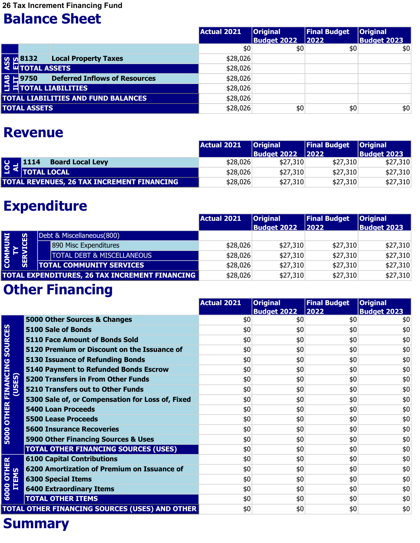26 Tax Increment Financing Fund

### Balance Sheet

|                                                                                               | <b>Actual 2021</b> | <b>Original</b>    | <b>Final Budget</b> | <b>Original</b>    |
|-----------------------------------------------------------------------------------------------|--------------------|--------------------|---------------------|--------------------|
|                                                                                               |                    | <b>Budget 2022</b> | 2022                | <b>Budget 2023</b> |
|                                                                                               | \$0                | \$0                | \$0                 | \$0                |
| <b>Local Property Taxes</b><br><b>SOLUAR SETS</b><br>SOLUAR TOTAL ASSETS                      | \$28,026           |                    |                     |                    |
|                                                                                               | \$28,026           |                    |                     |                    |
| e = 9750 Deferred In<br>= HTOTAL LIABILITIES<br><b>Deferred Inflows of Resources</b><br>19750 | \$28,026           |                    |                     |                    |
|                                                                                               | \$28,026           |                    |                     |                    |
| <b>TOTAL LIABILITIES AND FUND BALANCES</b>                                                    | \$28,026           |                    |                     |                    |
| <b>TOTAL ASSETS</b>                                                                           | \$28,026           | \$0                | \$0                 | \$0                |
| <b>Revenue</b>                                                                                |                    |                    |                     |                    |
|                                                                                               | <b>Actual 2021</b> | <b>Original</b>    | <b>Final Budget</b> | <b>Original</b>    |
|                                                                                               |                    | <b>Budget 2022</b> | 2022                | <b>Budget 2023</b> |
| <b>Board Local Levy</b><br>1114<br>SOT                                                        | \$28,026           | \$27,310           | \$27,310            | \$27,310           |
| <b>TOTAL LOCAL</b>                                                                            | \$28,026           | \$27,310           | \$27,310            | \$27,310           |

#### Revenue

|                                                   |                                                     | Actual 2021 | <b>Original</b>      | <b>Final Budget</b> | <b>Original</b>    |
|---------------------------------------------------|-----------------------------------------------------|-------------|----------------------|---------------------|--------------------|
|                                                   |                                                     |             | Budget 2022    12022 |                     | <b>Budget 2023</b> |
|                                                   | <b>SOLUTE 1114 Board</b><br><b>Board Local Levy</b> | \$28,026    | \$27,310             | \$27,310            | \$27,310           |
|                                                   |                                                     | \$28,026    | \$27,310             | \$27,310            | \$27,310           |
| <b>TOTAL REVENUES, 26 TAX INCREMENT FINANCING</b> |                                                     | \$28,026    | \$27,310             | \$27,310            | \$27,310           |

### Expenditure

|                                                       |             |                                       | Actual 2021 | <b>Original</b>    | <b>Final Budget</b> | <b>Original</b>    |
|-------------------------------------------------------|-------------|---------------------------------------|-------------|--------------------|---------------------|--------------------|
|                                                       |             |                                       |             | <b>Budget 2022</b> | $ 2022\rangle$      | <b>Budget 2023</b> |
| INNI<br><b>COMM</b><br>TY                             |             | Debt & Miscellaneous(800)             |             |                    |                     |                    |
|                                                       | <b>TCES</b> | 890 Misc Expenditures                 | \$28,026    | \$27,310           | \$27,310            | \$27,310           |
|                                                       | ⋧           | <b>TOTAL DEBT &amp; MISCELLANEOUS</b> | \$28,026    | \$27,310           | \$27,310            | \$27,310           |
|                                                       | 田           | <b>TOTAL COMMUNITY SERVICES</b>       | \$28,026    | \$27,310           | \$27,310            | \$27,310           |
| <b>TOTAL EXPENDITURES, 26 TAX INCREMENT FINANCING</b> |             | \$28,026                              | \$27,310    | \$27,310           | \$27,310            |                    |

### **Other Financing**

|                                    |                                                  | <b>Actual 2021</b> | <b>Original</b>    | <b>Final Budget</b> | <b>Original</b>    |
|------------------------------------|--------------------------------------------------|--------------------|--------------------|---------------------|--------------------|
|                                    |                                                  |                    | <b>Budget 2022</b> | 2022                | <b>Budget 2023</b> |
|                                    | 5000 Other Sources & Changes                     | \$0                | \$0                | \$0                 | \$0                |
|                                    | 5100 Sale of Bonds                               | \$0                | \$0                | \$0                 | \$0                |
|                                    | <b>5110 Face Amount of Bonds Sold</b>            | \$0                | \$0                | \$0                 | \$0                |
|                                    | 5120 Premium or Discount on the Issuance of      | \$0                | \$0                | \$0                 | \$0                |
|                                    | <b>5130 Issuance of Refunding Bonds</b>          | \$0                | \$0                | \$0                 | \$0                |
|                                    | 5140 Payment to Refunded Bonds Escrow            | \$0                | \$0                | \$0                 | \$0                |
| <b>FINANCING SOURCES</b><br>(USES) | <b>5200 Transfers in From Other Funds</b>        | \$0                | \$0                | \$0                 | \$0                |
|                                    | <b>5210 Transfers out to Other Funds</b>         | \$0                | \$0                | \$0                 | \$0                |
|                                    | 5300 Sale of, or Compensation for Loss of, Fixed | \$0                | \$0                | \$0                 | \$0                |
|                                    | <b>5400 Loan Proceeds</b>                        | \$0                | \$0                | \$0                 | \$0                |
| <b>OTHER</b>                       | <b>5500 Lease Proceeds</b>                       | \$0                | \$0                | \$0                 | \$0                |
|                                    | <b>5600 Insurance Recoveries</b>                 | \$0                | \$0                | \$0                 | \$0                |
| 5000                               | 5900 Other Financing Sources & Uses              | \$0                | \$0                | \$0                 | \$0                |
|                                    | <b>TOTAL OTHER FINANCING SOURCES (USES)</b>      | \$0                | \$0                | \$0                 | \$0                |
|                                    | <b>6100 Capital Contributions</b>                | \$0                | \$0                | \$0                 | \$0                |
| <b>OTHER</b><br>EMS                | 6200 Amortization of Premium on Issuance of      | \$0                | \$0                | \$0                 | \$0                |
|                                    | <b>6300 Special Items</b>                        | \$0                | \$0                | \$0                 | \$0                |
| 片<br>6000                          | <b>6400 Extraordinary Items</b>                  | \$0                | \$0                | \$0                 | \$0                |
|                                    | <b>TOTAL OTHER ITEMS</b>                         | \$0                | \$0                | \$0                 | \$0                |
|                                    | TOTAL OTHER FINANCING SOURCES (USES) AND OTHER   | \$0                | \$0                | \$0                 | \$0                |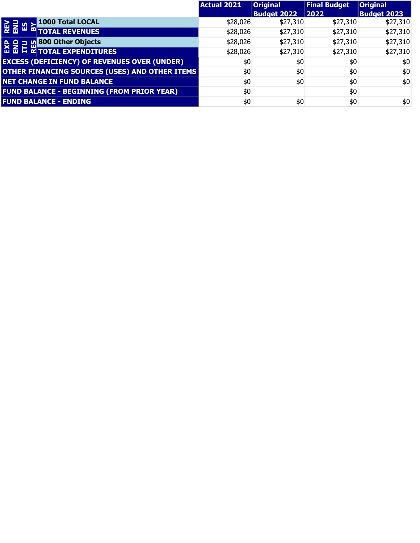|                                                                                | <b>Actual 2021</b> | <b>Original</b>    | <b>Final Budget</b> | <b>Original</b>    |
|--------------------------------------------------------------------------------|--------------------|--------------------|---------------------|--------------------|
|                                                                                |                    | <b>Budget 2022</b> | 2022                | <b>Budget 2023</b> |
| 1000 Total LOCAL<br><b>REV<br/>ENU</b><br>$\frac{1}{2}$                        | \$28,026           | \$27,310           | \$27,310            | \$27,310           |
| <b>M TOTAL REVENUES</b>                                                        | \$28,026           | \$27,310           | \$27,310            | \$27,310           |
| <b>v</b> 800 Other Objects                                                     | \$28,026           | \$27,310           | \$27,310            | \$27,310           |
| $\frac{6}{10}$ $\frac{10}{10}$ $\frac{10}{10}$ $\frac{800}{101}$ Other Objects | \$28,026           | \$27,310           | \$27,310            | \$27,310           |
| <b>EXCESS (DEFICIENCY) OF REVENUES OVER (UNDER)</b>                            | \$0                | \$0                | \$0                 | \$0                |
| OTHER FINANCING SOURCES (USES) AND OTHER ITEMS                                 | \$0                | \$0                | \$0                 | \$0                |
| <b>NET CHANGE IN FUND BALANCE</b>                                              | \$0                | \$0                | \$0                 | \$0                |
| <b>FUND BALANCE - BEGINNING (FROM PRIOR YEAR)</b>                              | \$0                |                    | \$0                 |                    |
| <b>FUND BALANCE - ENDING</b>                                                   | \$0                | \$0                | \$0                 | \$0                |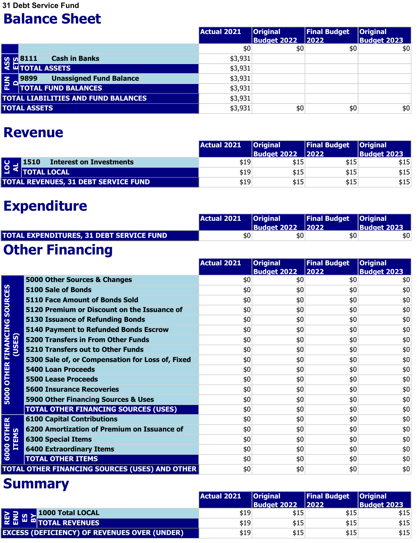31 Debt Service Fund

#### Balance Sheet

|                       |                                  |                                            | Actual 2021 | <b>Original</b>    | <b>Final Budget</b> | <b>Original</b>    |
|-----------------------|----------------------------------|--------------------------------------------|-------------|--------------------|---------------------|--------------------|
|                       |                                  |                                            |             | <b>Budget 2022</b> | 2022                | <b>Budget 2023</b> |
|                       |                                  |                                            | \$0         | \$0                | \$0                 | \$0                |
|                       | <b>v<sub>o</sub> 8111</b> Cash i | <b>Cash in Banks</b>                       | \$3,931     |                    |                     |                    |
|                       |                                  |                                            | \$3,931     |                    |                     |                    |
| $\frac{2}{5}$ $\circ$ | 9899                             | <b>Unassigned Fund Balance</b>             | \$3,931     |                    |                     |                    |
|                       |                                  | <b>TOTAL FUND BALANCES</b>                 | \$3,931     |                    |                     |                    |
|                       |                                  | <b>TOTAL LIABILITIES AND FUND BALANCES</b> | \$3,931     |                    |                     |                    |
|                       | <b>TOTAL ASSETS</b>              |                                            | \$3,931     | \$0                | \$0                 | \$0                |
|                       | <b>Revenue</b>                   |                                            |             |                    |                     |                    |
|                       |                                  |                                            | Actual 2021 | <b>Original</b>    | <b>Final Budget</b> | <b>Original</b>    |
|                       |                                  |                                            |             | <b>Budget 2022</b> | 2022                | <b>Budget 2023</b> |
| <b>NO</b>             | 1510                             | <b>Interest on Investments</b>             | \$19        | \$15               | \$15                | \$15               |
|                       | <b>TOTAL LOCAL</b>               |                                            | \$19        | \$15               | \$15                | \$15               |

#### Revenue

|                                             |                                                   | <b>Actual 2021</b> | <b>Original</b>    | <b>Final Budget</b> | $ $ Original       |
|---------------------------------------------|---------------------------------------------------|--------------------|--------------------|---------------------|--------------------|
|                                             |                                                   |                    | <b>Budget 2022</b> | 2022                | <b>Budget 2023</b> |
|                                             | 9 = 1510 Intere<br><b>Interest on Investments</b> | \$19               | \$15               | \$15                | \$15               |
|                                             |                                                   | \$19               | \$15               | \$15                | \$15               |
| <b>TOTAL REVENUES, 31 DEBT SERVICE FUND</b> |                                                   | \$19               | \$15               | \$15                | \$15               |

### Expenditure

|                                                 | Actual 2021   Original |                         | Final Budget   Original |             |
|-------------------------------------------------|------------------------|-------------------------|-------------------------|-------------|
|                                                 |                        | <b>Budget 2022 2022</b> |                         | Budget 2023 |
| <b>TOTAL EXPENDITURES, 31 DEBT SERVICE FUND</b> | \$0                    | \$0                     | \$0                     | \$0         |

### Other Financing

|                                  |                                                       | <b>Actual 2021</b> | <b>Original</b><br><b>Budget 2022</b> | <b>Final Budget</b><br>2022 | <b>Original</b><br><b>Budget 2023</b> |
|----------------------------------|-------------------------------------------------------|--------------------|---------------------------------------|-----------------------------|---------------------------------------|
|                                  | 5000 Other Sources & Changes                          | \$0                | \$0                                   | \$0                         | \$0                                   |
|                                  | <b>5100 Sale of Bonds</b>                             | \$0                | \$0                                   | \$0                         | \$0                                   |
|                                  | <b>5110 Face Amount of Bonds Sold</b>                 | \$0                | \$0                                   | \$0                         | \$0                                   |
| <b>SOURCES</b>                   | 5120 Premium or Discount on the Issuance of           | \$0                | \$0                                   | \$0                         | \$0                                   |
|                                  | <b>5130 Issuance of Refunding Bonds</b>               | \$0                | \$0                                   | \$0                         | \$0                                   |
|                                  | <b>5140 Payment to Refunded Bonds Escrow</b>          | \$0                | \$0                                   | \$0                         | \$0                                   |
| <b>OTHER FINANCING</b><br>(USES) | <b>5200 Transfers in From Other Funds</b>             | \$0                | \$0                                   | \$0                         | \$0                                   |
|                                  | <b>5210 Transfers out to Other Funds</b>              | \$0                | \$0                                   | \$0                         | \$0                                   |
|                                  | 5300 Sale of, or Compensation for Loss of, Fixed      | \$0                | \$0                                   | \$0                         | \$0                                   |
|                                  | <b>5400 Loan Proceeds</b>                             | \$0                | \$0                                   | \$0                         | \$0                                   |
|                                  | <b>5500 Lease Proceeds</b>                            | \$0                | \$0                                   | \$0                         | \$0                                   |
|                                  | <b>5600 Insurance Recoveries</b>                      | \$0                | \$0                                   | \$0                         | \$0                                   |
| 5000                             | 5900 Other Financing Sources & Uses                   | \$0                | \$0                                   | \$0                         | \$0                                   |
|                                  | <b>TOTAL OTHER FINANCING SOURCES (USES)</b>           | \$0                | \$0                                   | \$0                         | \$0                                   |
|                                  | <b>6100 Capital Contributions</b>                     | \$0                | \$0                                   | \$0                         | \$0                                   |
|                                  | 6200 Amortization of Premium on Issuance of           | \$0                | \$0                                   | \$0                         | \$0                                   |
| 00 OTHER<br>ITEMS                | <b>6300 Special Items</b>                             | \$0                | \$0                                   | \$0                         | \$0                                   |
| 6000                             | <b>6400 Extraordinary Items</b>                       | \$0                | \$0                                   | \$0                         | \$0                                   |
|                                  | <b>TOTAL OTHER ITEMS</b>                              | \$0                | \$0                                   | \$0                         | \$0                                   |
|                                  | <b>TOTAL OTHER FINANCING SOURCES (USES) AND OTHER</b> | \$0                | \$0                                   | \$0                         | \$0                                   |

#### **Summary**

Experimental distribution of the second control of the second second control of the second second second second

|                                                     |                          | <b>Actual 2021</b> | <b>Original</b>    | <b>Final Budget Original</b> |                    |
|-----------------------------------------------------|--------------------------|--------------------|--------------------|------------------------------|--------------------|
|                                                     |                          |                    | <b>Budget 2022</b> | $ 2022$                      | <b>Budget 2023</b> |
|                                                     | 교 I M M 1000 Total LOCAL | \$19               | \$15               | \$15                         | \$15               |
|                                                     |                          | \$19               | \$15               | \$15                         | \$15               |
| <b>EXCESS (DEFICIENCY) OF REVENUES OVER (UNDER)</b> |                          | \$19               | \$15               | \$15                         | \$15               |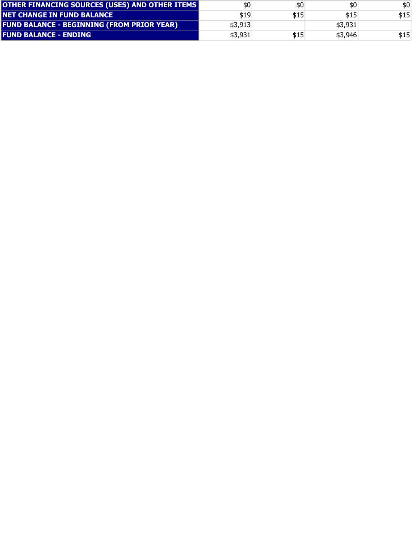| \$0     | \$0  | \$0     | \$0   |
|---------|------|---------|-------|
| \$19    | \$15 | \$15    | \$15  |
| \$3,913 |      | \$3,931 |       |
| \$3,931 | \$15 | \$3,946 | \$15' |
|         |      |         |       |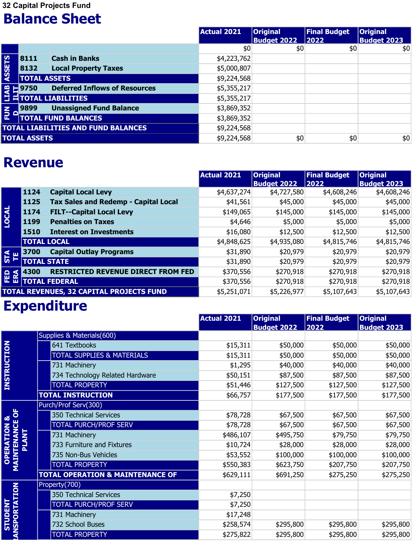32 Capital Projects Fund

#### Balance Sheet

|                |                     |                                                                                                   | Actual 2021 | <b>Original</b><br><b>Budget 2022</b> | <b>Final Budget</b><br>$ 2022\rangle$ | <b>Original</b><br><b>Budget 2023</b> |
|----------------|---------------------|---------------------------------------------------------------------------------------------------|-------------|---------------------------------------|---------------------------------------|---------------------------------------|
|                |                     |                                                                                                   | \$0         | \$0                                   | \$0                                   | \$0                                   |
|                | 8111                | <b>Cash in Banks</b>                                                                              | \$4,223,762 |                                       |                                       |                                       |
| ASSETS         | 8132                | <b>Local Property Taxes</b>                                                                       | \$5,000,807 |                                       |                                       |                                       |
|                | <b>TOTAL ASSETS</b> |                                                                                                   | \$9,224,568 |                                       |                                       |                                       |
|                |                     | <b>EL 9750</b> Deferred In<br><b>EL TOTAL LIABILITIES</b><br><b>Deferred Inflows of Resources</b> | \$5,355,217 |                                       |                                       |                                       |
|                |                     |                                                                                                   | \$5,355,217 |                                       |                                       |                                       |
| $\overline{E}$ | 9899                | <b>Unassigned Fund Balance</b>                                                                    | \$3,869,352 |                                       |                                       |                                       |
|                |                     | <b>TOTAL FUND BALANCES</b>                                                                        | \$3,869,352 |                                       |                                       |                                       |
|                |                     | <b>TOTAL LIABILITIES AND FUND BALANCES</b>                                                        | \$9,224,568 |                                       |                                       |                                       |
|                | <b>TOTAL ASSETS</b> |                                                                                                   | \$9,224,568 | \$0                                   | \$0                                   | \$0                                   |

### Revenue

| $\frac{8}{5}$      | $\mathbf{F}$ 9750   | <b>Deferred Inflows of Resources</b>            | \$5,355,217        |                                       |                             |                                       |
|--------------------|---------------------|-------------------------------------------------|--------------------|---------------------------------------|-----------------------------|---------------------------------------|
| Ε                  |                     | <b>TOTAL LIABILITIES</b>                        | \$5,355,217        |                                       |                             |                                       |
| $rac{2}{2}$<br>- C | 9899                | <b>Unassigned Fund Balance</b>                  | \$3,869,352        |                                       |                             |                                       |
|                    |                     | <b>TOTAL FUND BALANCES</b>                      | \$3,869,352        |                                       |                             |                                       |
|                    |                     | <b>TOTAL LIABILITIES AND FUND BALANCES</b>      | \$9,224,568        |                                       |                             |                                       |
|                    | <b>TOTAL ASSETS</b> |                                                 | \$9,224,568        | \$0                                   | \$0                         | \$0                                   |
|                    | <b>Revenue</b>      |                                                 |                    |                                       |                             |                                       |
|                    |                     |                                                 | <b>Actual 2021</b> | <b>Original</b><br><b>Budget 2022</b> | <b>Final Budget</b><br>2022 | <b>Original</b><br><b>Budget 2023</b> |
|                    | 1124                | <b>Capital Local Levy</b>                       | \$4,637,274        | \$4,727,580                           | \$4,608,246                 | \$4,608,246                           |
|                    | 1125                | <b>Tax Sales and Redemp - Capital Local</b>     | \$41,561           | \$45,000                              | \$45,000                    | \$45,000                              |
|                    | 1174                | <b>FILT--Capital Local Levy</b>                 | \$149,065          | \$145,000                             | \$145,000                   | \$145,000                             |
| LOCAL              | 1199                | <b>Penalties on Taxes</b>                       | \$4,646            | \$5,000                               | \$5,000                     | \$5,000                               |
|                    | 1510                | <b>Interest on Investments</b>                  | \$16,080           | \$12,500                              | \$12,500                    | \$12,500                              |
|                    |                     | <b>TOTAL LOCAL</b>                              | \$4,848,625        | \$4,935,080                           | \$4,815,746                 | \$4,815,746                           |
| <b>STA</b>         | 3700                | <b>Capital Outlay Programs</b>                  | \$31,890           | \$20,979                              | \$20,979                    | \$20,979                              |
|                    |                     | <b>TOTAL STATE</b>                              | \$31,890           | \$20,979                              | \$20,979                    | \$20,979                              |
| <b>FED</b><br>ERA  | 4300                | <b>RESTRICTED REVENUE DIRECT FROM FED</b>       | \$370,556          | \$270,918                             | \$270,918                   | \$270,918                             |
|                    |                     | <b>TOTAL FEDERAL</b>                            | \$370,556          | \$270,918                             | \$270,918                   | \$270,918                             |
|                    |                     | <b>TOTAL REVENUES, 32 CAPITAL PROJECTS FUND</b> | \$5,251,071        | \$5,226,977                           | \$5,107,643                 | \$5,107,643                           |

### **Expenditure**

| <b>STA</b><br>쁟                           | 3700         | <b>Capital Outlay Programs</b>              | \$31,890           | \$20,979           | \$20,979            | \$20,979           |
|-------------------------------------------|--------------|---------------------------------------------|--------------------|--------------------|---------------------|--------------------|
|                                           |              | <b>TOTAL STATE</b>                          | \$31,890           | \$20,979           | \$20,979            | \$20,979           |
| <b>FED</b><br>ERA                         | 4300         | <b>RESTRICTED REVENUE DIRECT FROM FED</b>   | \$370,556          | \$270,918          | \$270,918           | \$270,918          |
|                                           |              | <b>TOTAL FEDERAL</b>                        | \$370,556          | \$270,918          | \$270,918           | \$270,918          |
|                                           |              | TOTAL REVENUES, 32 CAPITAL PROJECTS FUND    | \$5,251,071        | \$5,226,977        | \$5,107,643         | \$5,107,643        |
|                                           |              | <b>Expenditure</b>                          |                    |                    |                     |                    |
|                                           |              |                                             | <b>Actual 2021</b> | <b>Original</b>    | <b>Final Budget</b> | <b>Original</b>    |
|                                           |              |                                             |                    | <b>Budget 2022</b> | 2022                | <b>Budget 2023</b> |
|                                           |              | Supplies & Materials(600)                   |                    |                    |                     |                    |
|                                           |              | 641 Textbooks                               | \$15,311           | \$50,000           | \$50,000            | \$50,000           |
|                                           |              | <b>TOTAL SUPPLIES &amp; MATERIALS</b>       | \$15,311           | \$50,000           | \$50,000            | \$50,000           |
|                                           |              | 731 Machinery                               | \$1,295            | \$40,000           | \$40,000            | \$40,000           |
| <b>INSTRUCTION</b>                        |              | 734 Technology Related Hardware             | \$50,151           | \$87,500           | \$87,500            | \$87,500           |
|                                           |              | <b>TOTAL PROPERTY</b>                       | \$51,446           | \$127,500          | \$127,500           | \$127,500          |
|                                           |              | <b>TOTAL INSTRUCTION</b>                    | \$66,757           | \$177,500          | \$177,500           | \$177,500          |
|                                           |              | Purch/Prof Serv(300)                        |                    |                    |                     |                    |
|                                           |              | 350 Technical Services                      | \$78,728           | \$67,500           | \$67,500            | \$67,500           |
|                                           |              | <b>TOTAL PURCH/PROF SERV</b>                | \$78,728           | \$67,500           | \$67,500            | \$67,500           |
|                                           | <b>PLANT</b> | 731 Machinery                               | \$486,107          | \$495,750          | \$79,750            | \$79,750           |
|                                           |              | 733 Furniture and Fixtures                  | \$10,724           | \$28,000           | \$28,000            | \$28,000           |
|                                           |              | 735 Non-Bus Vehicles                        | \$53,552           | \$100,000          | \$100,000           | \$100,000          |
| <b>OPERATION &amp;<br/>MAINTENANCE OF</b> |              | <b>TOTAL PROPERTY</b>                       | \$550,383          | \$623,750          | \$207,750           | \$207,750          |
|                                           |              | <b>TOTAL OPERATION &amp; MAINTENANCE OF</b> | \$629,111          | \$691,250          | \$275,250           | \$275,250          |
|                                           |              | Property(700)                               |                    |                    |                     |                    |
|                                           |              | 350 Technical Services                      | \$7,250            |                    |                     |                    |
|                                           |              | <b>TOTAL PURCH/PROF SERV</b>                | \$7,250            |                    |                     |                    |
|                                           |              | 731 Machinery                               | \$17,248           |                    |                     |                    |
| NSPORTATION<br>STUDENT                    |              | 732 School Buses                            | \$258,574          | \$295,800          | \$295,800           | \$295,800          |
|                                           |              | <b>TOTAL PROPERTY</b>                       | \$275,822          | \$295,800          | \$295,800           | \$295,800          |
|                                           |              |                                             |                    |                    |                     |                    |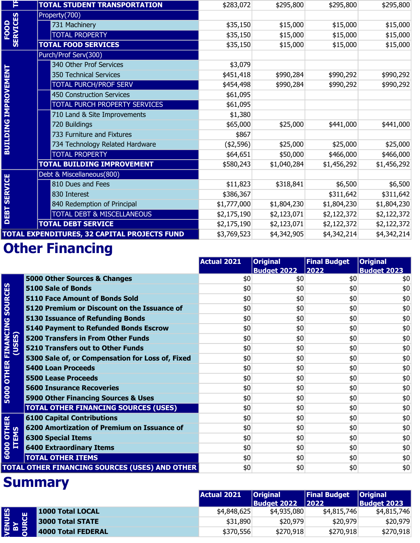| F                              | <b>TOTAL STUDENT TRANSPORTATION</b>          | \$283,072   | \$295,800   | \$295,800   | \$295,800   |
|--------------------------------|----------------------------------------------|-------------|-------------|-------------|-------------|
|                                | Property(700)                                |             |             |             |             |
| <b>SERVICES</b><br><b>FOOD</b> | 731 Machinery                                | \$35,150    | \$15,000    | \$15,000    | \$15,000    |
|                                | <b>TOTAL PROPERTY</b>                        | \$35,150    | \$15,000    | \$15,000    | \$15,000    |
|                                | <b>TOTAL FOOD SERVICES</b>                   | \$35,150    | \$15,000    | \$15,000    | \$15,000    |
|                                | Purch/Prof Serv(300)                         |             |             |             |             |
|                                | 340 Other Prof Services                      | \$3,079     |             |             |             |
|                                | 350 Technical Services                       | \$451,418   | \$990,284   | \$990,292   | \$990,292   |
|                                | <b>TOTAL PURCH/PROF SERV</b>                 | \$454,498   | \$990,284   | \$990,292   | \$990,292   |
|                                | <b>450 Construction Services</b>             | \$61,095    |             |             |             |
|                                | TOTAL PURCH PROPERTY SERVICES                | \$61,095    |             |             |             |
|                                | 710 Land & Site Improvements                 | \$1,380     |             |             |             |
|                                | 720 Buildings                                | \$65,000    | \$25,000    | \$441,000   | \$441,000   |
|                                | 733 Furniture and Fixtures                   | \$867       |             |             |             |
| <b>BUILDING IMPROVEMENT</b>    | 734 Technology Related Hardware              | (42, 596)   | \$25,000    | \$25,000    | \$25,000    |
|                                | <b>TOTAL PROPERTY</b>                        | \$64,651    | \$50,000    | \$466,000   | \$466,000   |
|                                | <b>TOTAL BUILDING IMPROVEMENT</b>            | \$580,243   | \$1,040,284 | \$1,456,292 | \$1,456,292 |
|                                | Debt & Miscellaneous(800)                    |             |             |             |             |
|                                | 810 Dues and Fees                            | \$11,823    | \$318,841   | \$6,500     | \$6,500     |
|                                | 830 Interest                                 | \$386,367   |             | \$311,642   | \$311,642   |
|                                | 840 Redemption of Principal                  | \$1,777,000 | \$1,804,230 | \$1,804,230 | \$1,804,230 |
| <b>DEBT SERVICE</b>            | TOTAL DEBT & MISCELLANEOUS                   | \$2,175,190 | \$2,123,071 | \$2,122,372 | \$2,122,372 |
|                                | <b>TOTAL DEBT SERVICE</b>                    | \$2,175,190 | \$2,123,071 | \$2,122,372 | \$2,122,372 |
|                                | TOTAL EXPENDITURES, 32 CAPITAL PROJECTS FUND | \$3,769,523 | \$4,342,905 | \$4,342,214 | \$4,342,214 |

# **Other Financing**

|                                            | Debt & Miscellaneous(800)                             |                    |                                       |                             |                                       |
|--------------------------------------------|-------------------------------------------------------|--------------------|---------------------------------------|-----------------------------|---------------------------------------|
| <b>DEBT SERVICE</b>                        | 810 Dues and Fees                                     | \$11,823           | \$318,841                             | \$6,500                     | \$6,500                               |
|                                            | 830 Interest                                          | \$386,367          |                                       | \$311,642                   | \$311,642                             |
|                                            | 840 Redemption of Principal                           | \$1,777,000        | \$1,804,230                           | \$1,804,230                 | \$1,804,230                           |
|                                            | <b>TOTAL DEBT &amp; MISCELLANEOUS</b>                 | \$2,175,190        | \$2,123,071                           | \$2,122,372                 | \$2,122,372                           |
|                                            | <b>TOTAL DEBT SERVICE</b>                             | \$2,175,190        | \$2,123,071                           | \$2,122,372                 | \$2,122,372                           |
|                                            | TOTAL EXPENDITURES, 32 CAPITAL PROJECTS FUND          | \$3,769,523        | \$4,342,905                           | \$4,342,214                 | \$4,342,214                           |
|                                            | <b>Other Financing</b>                                |                    |                                       |                             |                                       |
|                                            |                                                       | <b>Actual 2021</b> | <b>Original</b>                       | <b>Final Budget</b>         | <b>Original</b>                       |
|                                            |                                                       |                    | <b>Budget 2022</b>                    | 2022                        | <b>Budget 2023</b>                    |
|                                            | 5000 Other Sources & Changes                          | \$0                | \$0                                   | \$0                         | \$0                                   |
|                                            | <b>5100 Sale of Bonds</b>                             | \$0                | \$0                                   | \$0                         | \$0                                   |
|                                            | <b>5110 Face Amount of Bonds Sold</b>                 | \$0                | \$0                                   | \$0                         | \$0                                   |
|                                            | 5120 Premium or Discount on the Issuance of           | \$0                | \$0                                   | \$0                         | \$0                                   |
| <b>OTHER FINANCING SOURCES</b>             | <b>5130 Issuance of Refunding Bonds</b>               | \$0                | \$0                                   | \$0                         | \$0                                   |
|                                            | <b>5140 Payment to Refunded Bonds Escrow</b>          | \$0                | \$0                                   | \$0                         | \$0                                   |
| (USES)                                     | <b>5200 Transfers in From Other Funds</b>             | \$0                | \$0                                   | \$0                         | \$0                                   |
|                                            | <b>5210 Transfers out to Other Funds</b>              | \$0                | \$0                                   | \$0                         | $$0$$                                 |
|                                            | 5300 Sale of, or Compensation for Loss of, Fixed      | \$0                | \$0                                   | \$0                         | \$0                                   |
|                                            | <b>5400 Loan Proceeds</b>                             | \$0                | \$0                                   | \$0                         | \$0                                   |
|                                            | <b>5500 Lease Proceeds</b>                            | \$0                | \$0                                   | \$0                         | \$0                                   |
| 5000                                       | <b>5600 Insurance Recoveries</b>                      | \$0                | \$0                                   | \$0                         | \$0                                   |
|                                            | 5900 Other Financing Sources & Uses                   | \$0                | \$0                                   | \$0                         | \$0                                   |
|                                            | <b>TOTAL OTHER FINANCING SOURCES (USES)</b>           | \$0                | \$0                                   | \$0                         | \$0                                   |
| <b>6000 OTHER</b>                          | <b>6100 Capital Contributions</b>                     | \$0                | \$0                                   | \$0                         | \$0                                   |
| EMS                                        | 6200 Amortization of Premium on Issuance of           | \$0                | \$0                                   | \$0                         | \$0                                   |
| 目                                          | <b>6300 Special Items</b>                             | \$0                | \$0                                   | \$0                         | $$0$$                                 |
|                                            | <b>6400 Extraordinary Items</b>                       | \$0                | \$0                                   | \$0                         | $$0$$                                 |
|                                            | <b>TOTAL OTHER ITEMS</b>                              | \$0                | \$0                                   | \$0                         | \$0                                   |
|                                            | <b>TOTAL OTHER FINANCING SOURCES (USES) AND OTHER</b> | \$0                | \$0                                   | \$0                         | \$0                                   |
|                                            | <b>Summary</b>                                        |                    |                                       |                             |                                       |
|                                            |                                                       | <b>Actual 2021</b> | <b>Original</b><br><b>Budget 2022</b> | <b>Final Budget</b><br>2022 | <b>Original</b><br><b>Budget 2023</b> |
|                                            | 1000 Total LOCAL                                      | \$4,848,625        | \$4,935,080                           | \$4,815,746                 | \$4,815,746                           |
| <b>/ENUES</b><br><b>BY</b><br><b>DURCE</b> | 3000 Total STATE                                      | \$31,890           | \$20,979                              | \$20,979                    | \$20,979                              |
|                                            | <b>4000 Total FEDERAL</b>                             | \$370,556          | \$270,918                             | \$270,918                   | \$270,918                             |

|              |                         | <b>Actual 2021</b> | <b>Original</b>    | <b>Final Budget</b> | <b>Original</b>    |
|--------------|-------------------------|--------------------|--------------------|---------------------|--------------------|
|              |                         |                    | <b>Budget 2022</b> | 2022                | <b>Budget 2023</b> |
| <b>OURCE</b> | <b>1000 Total LOCAL</b> | \$4,848,625        | \$4,935,080        | \$4,815,746         | \$4,815,746        |
|              | 3000 Total STATE        | \$31,890           | \$20,979           | \$20,979            | \$20,979           |
|              | 4000 Total FEDERAL      | \$370,556          | \$270,918          | \$270,918           | \$270,918          |
|              |                         |                    |                    |                     |                    |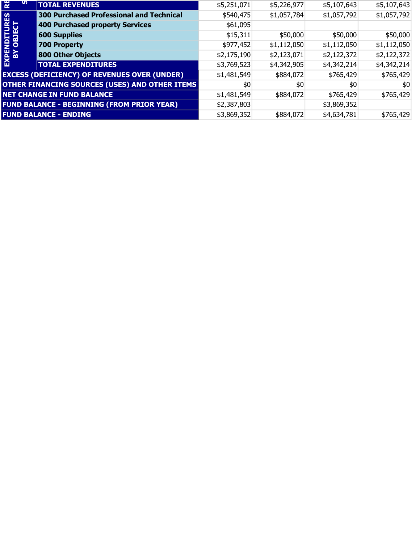| $\overline{\mathbf{R}}$<br>ທ | <b>TOTAL REVENUES</b>                               | \$5,251,071 | \$5,226,977 | \$5,107,643 | \$5,107,643 |
|------------------------------|-----------------------------------------------------|-------------|-------------|-------------|-------------|
|                              | <b>300 Purchased Professional and Technical</b>     | \$540,475   | \$1,057,784 | \$1,057,792 | \$1,057,792 |
| EXPENDITURES                 | <b>400 Purchased property Services</b>              | \$61,095    |             |             |             |
|                              | <b>600 Supplies</b>                                 | \$15,311    | \$50,000    | \$50,000    | \$50,000    |
|                              | 700 Property                                        | \$977,452   | \$1,112,050 | \$1,112,050 | \$1,112,050 |
|                              | <b>800 Other Objects</b>                            | \$2,175,190 | \$2,123,071 | \$2,122,372 | \$2,122,372 |
|                              | <b>TOTAL EXPENDITURES</b>                           | \$3,769,523 | \$4,342,905 | \$4,342,214 | \$4,342,214 |
|                              | <b>EXCESS (DEFICIENCY) OF REVENUES OVER (UNDER)</b> | \$1,481,549 | \$884,072   | \$765,429   | \$765,429   |
|                              | OTHER FINANCING SOURCES (USES) AND OTHER ITEMS      | \$0         | \$0         | \$0         | \$0         |
|                              | <b>NET CHANGE IN FUND BALANCE</b>                   | \$1,481,549 | \$884,072   | \$765,429   | \$765,429   |
|                              | <b>FUND BALANCE - BEGINNING (FROM PRIOR YEAR)</b>   | \$2,387,803 |             | \$3,869,352 |             |
|                              | <b>FUND BALANCE - ENDING</b>                        | \$3,869,352 | \$884,072   | \$4,634,781 | \$765,429   |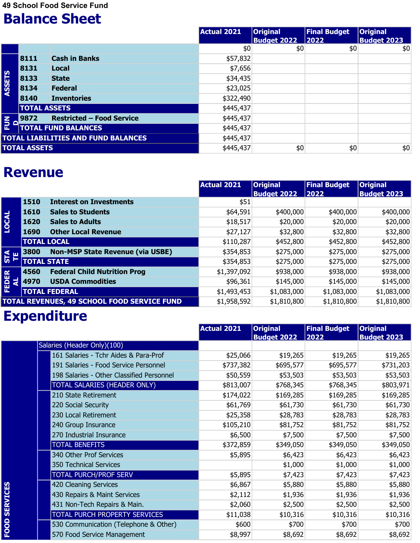49 School Food Service Fund

### Balance Sheet

|             |                     |                                            | Actual 2021 | <b>Original</b>    | <b>Final Budget</b> | <b>Original</b>    |
|-------------|---------------------|--------------------------------------------|-------------|--------------------|---------------------|--------------------|
|             |                     |                                            |             | <b>Budget 2022</b> | $\vert 2022 \vert$  | <b>Budget 2023</b> |
|             |                     |                                            | \$0         | \$0                | \$0                 | \$0                |
|             | 8111                | <b>Cash in Banks</b>                       | \$57,832    |                    |                     |                    |
|             | 8131                | <b>Local</b>                               | \$7,656     |                    |                     |                    |
| ASSETS      | 8133                | <b>State</b>                               | \$34,435    |                    |                     |                    |
|             | 8134                | <b>Federal</b>                             | \$23,025    |                    |                     |                    |
|             | 8140                | <b>Inventories</b>                         | \$322,490   |                    |                     |                    |
|             | <b>TOTAL ASSETS</b> |                                            | \$445,437   |                    |                     |                    |
| $rac{1}{2}$ | 9872                | <b>Restricted - Food Service</b>           | \$445,437   |                    |                     |                    |
|             |                     | <b>TOTAL FUND BALANCES</b>                 | \$445,437   |                    |                     |                    |
|             |                     | <b>TOTAL LIABILITIES AND FUND BALANCES</b> | \$445,437   |                    |                     |                    |
|             | <b>TOTAL ASSETS</b> |                                            | \$445,437   | \$0                | \$0                 | \$0                |

#### Revenue

| $\Box$                    | 9872<br>Restricted – Food Service               | \$445,437          |                    |                     |                    |
|---------------------------|-------------------------------------------------|--------------------|--------------------|---------------------|--------------------|
| $\frac{2}{5}$             | <b>TOTAL FUND BALANCES</b>                      | \$445,437          |                    |                     |                    |
|                           | <b>TOTAL LIABILITIES AND FUND BALANCES</b>      | \$445,437          |                    |                     |                    |
|                           | <b>TOTAL ASSETS</b>                             | \$445,437          | \$0                | \$0                 | \$0                |
|                           | <b>Revenue</b>                                  | <b>Actual 2021</b> | <b>Original</b>    | <b>Final Budget</b> | <b>Original</b>    |
|                           |                                                 |                    | <b>Budget 2022</b> | 2022                | <b>Budget 2023</b> |
|                           | 1510<br><b>Interest on Investments</b>          | \$51               |                    |                     |                    |
|                           | 1610<br><b>Sales to Students</b>                | \$64,591           | \$400,000          | \$400,000           | \$400,000          |
| <b>LOCAL</b>              | 1620<br><b>Sales to Adults</b>                  | \$18,517           | \$20,000           | \$20,000            | \$20,000           |
|                           | <b>Other Local Revenue</b><br>1690              | \$27,127           | \$32,800           | \$32,800            | \$32,800           |
|                           | <b>TOTAL LOCAL</b>                              | \$110,287          | \$452,800          | \$452,800           | \$452,800          |
| <b>STA</b><br>TE          | <b>Non-MSP State Revenue (via USBE)</b><br>3800 | \$354,853          | \$275,000          | \$275,000           | \$275,000          |
|                           | <b>TOTAL STATE</b>                              | \$354,853          | \$275,000          | \$275,000           | \$275,000          |
|                           | <b>Federal Child Nutrition Prog</b><br>4560     | \$1,397,092        | \$938,000          | \$938,000           | \$938,000          |
| <b>FEDER</b><br>$\vec{a}$ | <b>USDA Commodities</b><br>4970                 | \$96,361           | \$145,000          | \$145,000           | \$145,000          |
|                           | <b>TOTAL FEDERAL</b>                            | \$1,493,453        | \$1,083,000        | \$1,083,000         | \$1,083,000        |
|                           | TOTAL REVENUES, 49 SCHOOL FOOD SERVICE FUND     | \$1,958,592        | \$1,810,800        | \$1,810,800         | \$1,810,800        |
|                           | <b>Expenditure</b>                              |                    |                    |                     |                    |
|                           |                                                 | <b>Actual 2021</b> | <b>Original</b>    | <b>Final Budget</b> | <b>Original</b>    |
|                           |                                                 |                    | <b>Budget 2022</b> | 2022                | <b>Budget 2023</b> |
|                           | Salaries (Header Only)(100)                     |                    |                    |                     |                    |

### Expenditure

|                 |                                           | <b>Actual 2021</b> | <b>Original</b><br><b>Budget 2022</b> | <b>Final Budget</b><br>2022 | <b>Original</b><br><b>Budget 2023</b> |
|-----------------|-------------------------------------------|--------------------|---------------------------------------|-----------------------------|---------------------------------------|
|                 | Salaries (Header Only)(100)               |                    |                                       |                             |                                       |
|                 | 161 Salaries - Tchr Aides & Para-Prof     | \$25,066           | \$19,265                              | \$19,265                    | \$19,265                              |
|                 | 191 Salaries - Food Service Personnel     | \$737,382          | \$695,577                             | \$695,577                   | \$731,203                             |
|                 | 198 Salaries - Other Classified Personnel | \$50,559           | \$53,503                              | \$53,503                    | \$53,503                              |
|                 | TOTAL SALARIES (HEADER ONLY)              | \$813,007          | \$768,345                             | \$768,345                   | \$803,971                             |
|                 | 210 State Retirement                      | \$174,022          | \$169,285                             | \$169,285                   | \$169,285                             |
|                 | 220 Social Security                       | \$61,769           | \$61,730                              | \$61,730                    | \$61,730                              |
|                 | 230 Local Retirement                      | \$25,358           | \$28,783                              | \$28,783                    | \$28,783                              |
|                 | 240 Group Insurance                       | \$105,210          | \$81,752                              | \$81,752                    | \$81,752                              |
|                 | 270 Industrial Insurance                  | \$6,500            | \$7,500                               | \$7,500                     | \$7,500                               |
|                 | <b>TOTAL BENEFITS</b>                     | \$372,859          | \$349,050                             | \$349,050                   | \$349,050                             |
|                 | 340 Other Prof Services                   | \$5,895            | \$6,423                               | \$6,423                     | \$6,423                               |
|                 | 350 Technical Services                    |                    | \$1,000                               | \$1,000                     | \$1,000                               |
|                 | <b>TOTAL PURCH/PROF SERV</b>              | \$5,895            | \$7,423                               | \$7,423                     | \$7,423                               |
|                 | 420 Cleaning Services                     | \$6,867            | \$5,880                               | \$5,880                     | \$5,880                               |
|                 | 430 Repairs & Maint Services              | \$2,112            | \$1,936                               | \$1,936                     | \$1,936                               |
| <b>SERVICES</b> | 431 Non-Tech Repairs & Main.              | \$2,060            | \$2,500                               | \$2,500                     | \$2,500                               |
|                 | TOTAL PURCH PROPERTY SERVICES             | \$11,038           | \$10,316                              | \$10,316                    | \$10,316                              |
| <b>FOOD</b>     | 530 Communication (Telephone & Other)     | \$600              | \$700                                 | \$700                       | \$700                                 |
|                 | 570 Food Service Management               | \$8,997            | \$8,692                               | \$8,692                     | \$8,692                               |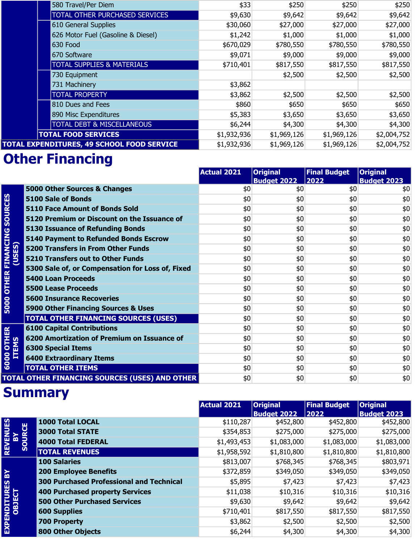| 580 Travel/Per Diem                        | \$33        | \$250       | \$250       | \$250       |
|--------------------------------------------|-------------|-------------|-------------|-------------|
| TOTAL OTHER PURCHASED SERVICES             | \$9,630     | \$9,642     | \$9,642     | \$9,642     |
| 610 General Supplies                       | \$30,060    | \$27,000    | \$27,000    | \$27,000    |
| 626 Motor Fuel (Gasoline & Diesel)         | \$1,242     | \$1,000     | \$1,000     | \$1,000     |
| 630 Food                                   | \$670,029   | \$780,550   | \$780,550   | \$780,550   |
| 670 Software                               | \$9,071     | \$9,000     | \$9,000     | \$9,000     |
| <b>TOTAL SUPPLIES &amp; MATERIALS</b>      | \$710,401   | \$817,550   | \$817,550   | \$817,550   |
| 730 Equipment                              |             | \$2,500     | \$2,500     | \$2,500     |
| 731 Machinery                              | \$3,862     |             |             |             |
| <b>TOTAL PROPERTY</b>                      | \$3,862     | \$2,500     | \$2,500     | \$2,500     |
| 810 Dues and Fees                          | \$860       | \$650       | \$650       | \$650       |
| 890 Misc Expenditures                      | \$5,383     | \$3,650     | \$3,650     | \$3,650     |
| <b>TOTAL DEBT &amp; MISCELLANEOUS</b>      | \$6,244     | \$4,300     | \$4,300     | \$4,300     |
| <b>TOTAL FOOD SERVICES</b>                 | \$1,932,936 | \$1,969,126 | \$1,969,126 | \$2,004,752 |
| TOTAL EXPENDITURES, 49 SCHOOL FOOD SERVICE | \$1,932,936 | \$1,969,126 | \$1,969,126 | \$2,004,752 |

## **Other Financing**

|                        |                                                       | <b>Actual 2021</b> | <b>Original</b><br><b>Budget 2022</b> | <b>Final Budget</b><br>2022 | <b>Original</b><br><b>Budget 2023</b> |
|------------------------|-------------------------------------------------------|--------------------|---------------------------------------|-----------------------------|---------------------------------------|
|                        | 5000 Other Sources & Changes                          | \$0                | \$0                                   | \$0                         | \$0                                   |
| <b>SOURCES</b>         | <b>5100 Sale of Bonds</b>                             | \$0                | \$0                                   | \$0                         | \$0                                   |
|                        | <b>5110 Face Amount of Bonds Sold</b>                 | \$0                | \$0                                   | \$0                         | \$0                                   |
|                        | 5120 Premium or Discount on the Issuance of           | \$0                | \$0                                   | \$0                         | \$0                                   |
|                        | <b>5130 Issuance of Refunding Bonds</b>               | \$0                | \$0                                   | \$0                         | \$0                                   |
| <b>OTHER FINANCING</b> | 5140 Payment to Refunded Bonds Escrow                 | \$0                | \$0                                   | \$0                         | \$0                                   |
| (USES)                 | <b>5200 Transfers in From Other Funds</b>             | \$0                | \$0                                   | \$0                         | \$0                                   |
|                        | <b>5210 Transfers out to Other Funds</b>              | \$0                | \$0                                   | \$0                         | \$0                                   |
|                        | 5300 Sale of, or Compensation for Loss of, Fixed      | \$0                | \$0                                   | \$0                         | \$0                                   |
|                        | <b>5400 Loan Proceeds</b>                             | \$0                | \$0                                   | \$0                         | \$0                                   |
|                        | <b>5500 Lease Proceeds</b>                            | \$0                | \$0                                   | \$0                         | \$0                                   |
|                        | <b>5600 Insurance Recoveries</b>                      | \$0                | \$0                                   | \$0                         | \$0                                   |
| 5000                   | 5900 Other Financing Sources & Uses                   | \$0                | \$0                                   | \$0                         | \$0                                   |
|                        | <b>TOTAL OTHER FINANCING SOURCES (USES)</b>           | \$0                | \$0                                   | \$0                         | \$0                                   |
|                        | <b>6100 Capital Contributions</b>                     | \$0                | \$0                                   | \$0                         | \$0                                   |
|                        | 6200 Amortization of Premium on Issuance of           | \$0                | \$0                                   | \$0                         | \$0                                   |
| 00 OTHER<br>ITEMS      | <b>6300 Special Items</b>                             | \$0                | \$0                                   | \$0                         | \$0                                   |
| 6000                   | <b>6400 Extraordinary Items</b>                       | \$0                | \$0                                   | \$0                         | \$0                                   |
|                        | <b>TOTAL OTHER ITEMS</b>                              | \$0                | \$0                                   | \$0                         | \$0                                   |
|                        | <b>TOTAL OTHER FINANCING SOURCES (USES) AND OTHER</b> | \$0                | \$0                                   | \$0                         | \$0                                   |

|                                   |                                                 | <b>Actual 2021</b> | <b>Original</b>    | <b>Final Budget</b> | <b>Original</b>    |
|-----------------------------------|-------------------------------------------------|--------------------|--------------------|---------------------|--------------------|
|                                   |                                                 |                    | <b>Budget 2022</b> | 2022                | <b>Budget 2023</b> |
|                                   | <b>1000 Total LOCAL</b>                         | \$110,287          | \$452,800          | \$452,800           | \$452,800          |
|                                   | <b>3000 Total STATE</b>                         | \$354,853          | \$275,000          | \$275,000           | \$275,000          |
|                                   | 4000 Total FEDERAL                              | \$1,493,453        | \$1,083,000        | \$1,083,000         | \$1,083,000        |
| <b>REVENUES<br/>BY<br/>SOURCE</b> | <b>TOTAL REVENUES</b>                           | \$1,958,592        | \$1,810,800        | \$1,810,800         | \$1,810,800        |
|                                   | <b>100 Salaries</b>                             | \$813,007          | \$768,345          | \$768,345           | \$803,971          |
|                                   | <b>200 Employee Benefits</b>                    | \$372,859          | \$349,050          | \$349,050           | \$349,050          |
|                                   | <b>300 Purchased Professional and Technical</b> | \$5,895            | \$7,423            | \$7,423             | \$7,423            |
|                                   | <b>400 Purchased property Services</b>          | \$11,038           | \$10,316           | \$10,316            | \$10,316           |
|                                   | <b>500 Other Purchased Services</b>             | \$9,630            | \$9,642            | \$9,642             | \$9,642            |
|                                   | <b>600 Supplies</b>                             | \$710,401          | \$817,550          | \$817,550           | \$817,550          |
| EXPENDITURES BY<br>OBJECT         | <b>700 Property</b>                             | \$3,862            | \$2,500            | \$2,500             | \$2,500            |
|                                   | <b>800 Other Objects</b>                        | \$6,244            | \$4,300            | \$4,300             | \$4,300            |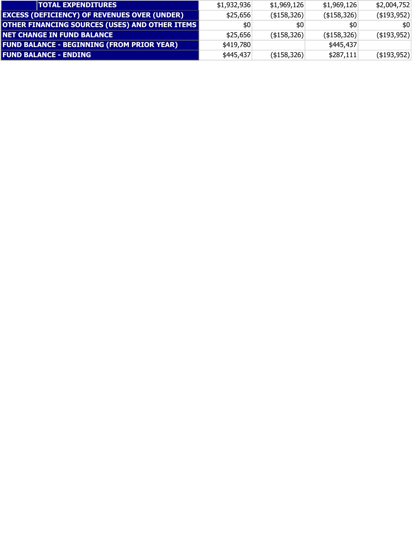| <b>TOTAL EXPENDITURES</b>                             | \$1,932,936 | \$1,969,126        | \$1,969,126        | \$2,004,752        |
|-------------------------------------------------------|-------------|--------------------|--------------------|--------------------|
| <b>EXCESS (DEFICIENCY) OF REVENUES OVER (UNDER)</b>   | \$25,656    | (\$158,326)        | $($ \$158,326) $ $ | $($ \$193,952) $ $ |
| <b>OTHER FINANCING SOURCES (USES) AND OTHER ITEMS</b> | \$0         | \$0                | \$0                | \$0                |
| <b>NET CHANGE IN FUND BALANCE</b>                     | \$25,656    | $($ \$158,326) $ $ | $($ \$158,326) $ $ | $($ \$193,952) $ $ |
| <b>FUND BALANCE - BEGINNING (FROM PRIOR YEAR)</b>     | \$419,780   |                    | \$445,437          |                    |
| <b>FUND BALANCE - ENDING</b>                          | \$445,437   | (\$158,326)        | \$287,111          | $($ \$193,952) $ $ |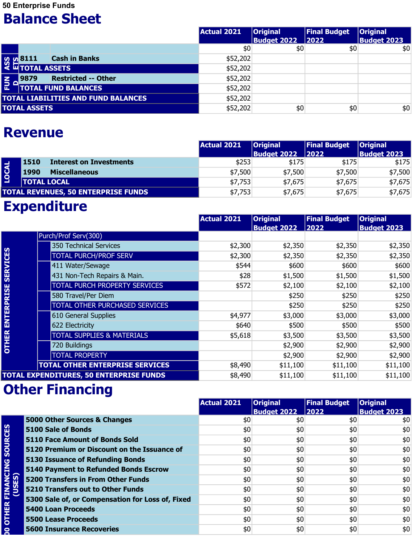50 Enterprise Funds

#### Balance Sheet

|                          |                     |                                                                           | <b>Actual 2021</b> | <b>Original</b>    | <b>Final Budget</b> | <b>Original</b>    |
|--------------------------|---------------------|---------------------------------------------------------------------------|--------------------|--------------------|---------------------|--------------------|
|                          |                     |                                                                           |                    | <b>Budget 2022</b> | $\boxed{2022}$      | <b>Budget 2023</b> |
|                          |                     |                                                                           | \$0                | \$0                | \$0                 | \$0                |
|                          |                     | <b>Cash in Banks</b><br><b>SOLUAR SETTLE STARS</b><br>SOLUAR TOTAL ASSETS | \$52,202           |                    |                     |                    |
|                          |                     |                                                                           | \$52,202           |                    |                     |                    |
| $\overline{\tilde{E}}$ 1 | 9879                | <b>Restricted -- Other</b>                                                | \$52,202           |                    |                     |                    |
|                          |                     | <b>TOTAL FUND BALANCES</b>                                                | \$52,202           |                    |                     |                    |
|                          |                     | <b>TOTAL LIABILITIES AND FUND BALANCES</b>                                | \$52,202           |                    |                     |                    |
|                          | <b>TOTAL ASSETS</b> |                                                                           | \$52,202           | \$0                | \$0                 | \$0                |

#### Revenue

|                                            | 9879<br><b>Restricted -- Other</b>     | \$52,202           |                             |                     |                             |
|--------------------------------------------|----------------------------------------|--------------------|-----------------------------|---------------------|-----------------------------|
| 로                                          | <b>TOTAL FUND BALANCES</b>             | \$52,202           |                             |                     |                             |
| <b>TOTAL LIABILITIES AND FUND BALANCES</b> |                                        | \$52,202           |                             |                     |                             |
|                                            | <b>TOTAL ASSETS</b>                    | \$52,202           | \$0                         | \$0                 | \$0                         |
| <b>Revenue</b>                             |                                        |                    |                             |                     |                             |
|                                            |                                        | <b>Actual 2021</b> | <b>Original</b>             | <b>Final Budget</b> | <b>Original</b>             |
|                                            | <b>Interest on Investments</b><br>1510 | \$253              | <b>Budget 2022</b><br>\$175 | 2022<br>\$175       | <b>Budget 2023</b><br>\$175 |
|                                            | <b>Miscellaneous</b><br>1990           | \$7,500            | \$7,500                     | \$7,500             | \$7,500                     |
| LOCAL                                      | <b>TOTAL LOCAL</b>                     | \$7,753            | \$7,675                     | \$7,675             | \$7,675                     |

### Expenditure

|                     |                                                | <b>Actual 2021</b> | <b>Original</b><br><b>Budget 2022</b> | <b>Final Budget</b><br>2022 | <b>Original</b><br><b>Budget 2023</b> |
|---------------------|------------------------------------------------|--------------------|---------------------------------------|-----------------------------|---------------------------------------|
|                     | Purch/Prof Serv(300)                           |                    |                                       |                             |                                       |
|                     | 350 Technical Services                         | \$2,300            | \$2,350                               | \$2,350                     | \$2,350                               |
| ENTERPRISE SERVICES | <b>TOTAL PURCH/PROF SERV</b>                   | \$2,300            | \$2,350                               | \$2,350                     | \$2,350                               |
|                     | 411 Water/Sewage                               | \$544              | \$600                                 | \$600                       | \$600                                 |
|                     | 431 Non-Tech Repairs & Main.                   | \$28               | \$1,500                               | \$1,500                     | \$1,500                               |
|                     | <b>TOTAL PURCH PROPERTY SERVICES</b>           | \$572              | \$2,100                               | \$2,100                     | \$2,100                               |
|                     | 580 Travel/Per Diem                            |                    | \$250                                 | \$250                       | \$250                                 |
|                     | <b>TOTAL OTHER PURCHASED SERVICES</b>          |                    | \$250                                 | \$250                       | \$250                                 |
|                     | 610 General Supplies                           | \$4,977            | \$3,000                               | \$3,000                     | \$3,000                               |
|                     | 622 Electricity                                | \$640              | \$500                                 | \$500                       | \$500                                 |
| <b>OTHER</b>        | <b>TOTAL SUPPLIES &amp; MATERIALS</b>          | \$5,618            | \$3,500                               | \$3,500                     | \$3,500                               |
|                     | 720 Buildings                                  |                    | \$2,900                               | \$2,900                     | \$2,900                               |
|                     | <b>TOTAL PROPERTY</b>                          |                    | \$2,900                               | \$2,900                     | \$2,900                               |
|                     | <b>TOTAL OTHER ENTERPRISE SERVICES</b>         | \$8,490            | \$11,100                              | \$11,100                    | \$11,100                              |
|                     | <b>TOTAL EXPENDITURES, 50 ENTERPRISE FUNDS</b> | \$8,490            | \$11,100                              | \$11,100                    | \$11,100                              |

|                                   |                                                  | <b>Actual 2021</b> | <b>Original</b><br><b>Budget 2022</b> | <b>Final Budget</b><br> 2022 | <b>Original</b><br><b>Budget 2023</b> |
|-----------------------------------|--------------------------------------------------|--------------------|---------------------------------------|------------------------------|---------------------------------------|
|                                   | 5000 Other Sources & Changes                     | \$0                | \$0                                   | \$0                          | \$0                                   |
| OTHER FINANCING SOURCES<br>(USES) | 5100 Sale of Bonds                               | \$0                | \$0                                   | \$0                          | \$0                                   |
|                                   | <b>5110 Face Amount of Bonds Sold</b>            | \$0                | \$0                                   | \$0                          | \$0                                   |
|                                   | 5120 Premium or Discount on the Issuance of      | \$0                | \$0                                   | \$0                          | \$0                                   |
|                                   | 5130 Issuance of Refunding Bonds                 | \$0                | \$0                                   | \$0                          | \$0                                   |
|                                   | 5140 Payment to Refunded Bonds Escrow            | \$0                | \$0                                   | \$0                          | \$0                                   |
|                                   | <b>5200 Transfers in From Other Funds</b>        | \$0                | \$0                                   | \$0                          | \$0                                   |
|                                   | 5210 Transfers out to Other Funds                | \$0                | \$0                                   | \$0                          | \$0                                   |
|                                   | 5300 Sale of, or Compensation for Loss of, Fixed | \$0                | \$0                                   | \$0                          | \$0                                   |
|                                   | 5400 Loan Proceeds                               | \$0                | \$0                                   | \$0                          | \$0                                   |
|                                   | 5500 Lease Proceeds                              | \$0                | \$0                                   | \$0                          | \$0                                   |
| g                                 | <b>5600 Insurance Recoveries</b>                 | \$0                | \$0                                   | \$0                          | \$0                                   |
|                                   |                                                  |                    |                                       |                              |                                       |